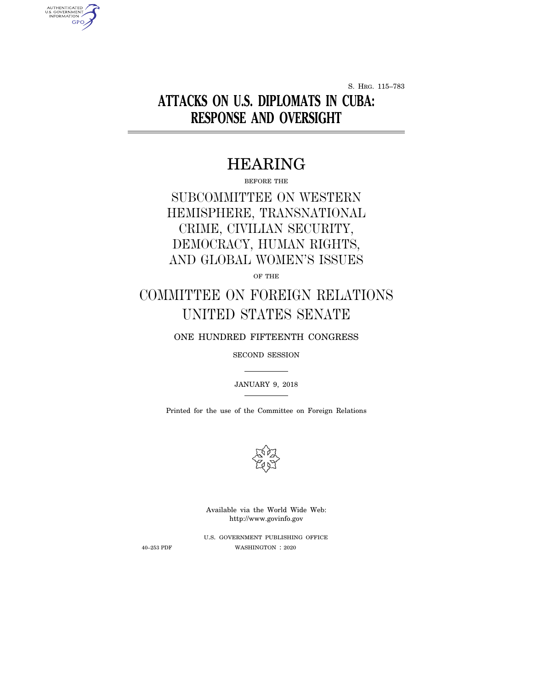S. HRG. 115–783

# **ATTACKS ON U.S. DIPLOMATS IN CUBA: RESPONSE AND OVERSIGHT**

# HEARING

BEFORE THE

SUBCOMMITTEE ON WESTERN HEMISPHERE, TRANSNATIONAL CRIME, CIVILIAN SECURITY, DEMOCRACY, HUMAN RIGHTS, AND GLOBAL WOMEN'S ISSUES

OF THE

# COMMITTEE ON FOREIGN RELATIONS UNITED STATES SENATE

ONE HUNDRED FIFTEENTH CONGRESS

SECOND SESSION

JANUARY 9, 2018

Printed for the use of the Committee on Foreign Relations



Available via the World Wide Web: http://www.govinfo.gov

U.S. GOVERNMENT PUBLISHING OFFICE 40–253 PDF WASHINGTON : 2020

AUTHENTICATED<br>U.S. GOVERNMENT<br>INFORMATION **GPO**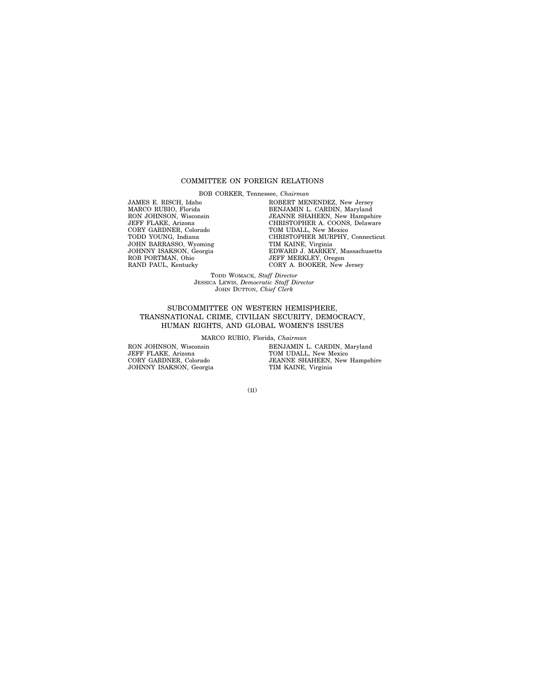## COMMITTEE ON FOREIGN RELATIONS

BOB CORKER, Tennessee, *Chairman*

JAMES E. RISCH, Idaho MARCO RUBIO, Florida RON JOHNSON, Wisconsin JEFF FLAKE, Arizona CORY GARDNER, Colorado TODD YOUNG, Indiana JOHN BARRASSO, Wyoming JOHNNY ISAKSON, Georgia ROB PORTMAN, Ohio RAND PAUL, Kentucky

ROBERT MENENDEZ, New Jersey BENJAMIN L. CARDIN, Maryland JEANNE SHAHEEN, New Hampshire CHRISTOPHER A. COONS, Delaware TOM UDALL, New Mexico CHRISTOPHER MURPHY, Connecticut TIM KAINE, Virginia EDWARD J. MARKEY, Massachusetts JEFF MERKLEY, Oregon CORY A. BOOKER, New Jersey

TODD WOMACK, *Staff Director* JESSICA LEWIS, *Democratic Staff Director* JOHN DUTTON, *Chief Clerk*

# SUBCOMMITTEE ON WESTERN HEMISPHERE, TRANSNATIONAL CRIME, CIVILIAN SECURITY, DEMOCRACY, HUMAN RIGHTS, AND GLOBAL WOMEN'S ISSUES

MARCO RUBIO, Florida, *Chairman*

RON JOHNSON, Wisconsin JEFF FLAKE, Arizona CORY GARDNER, Colorado JOHNNY ISAKSON, Georgia BENJAMIN L. CARDIN, Maryland TOM UDALL, New Mexico JEANNE SHAHEEN, New Hampshire TIM KAINE, Virginia

(II)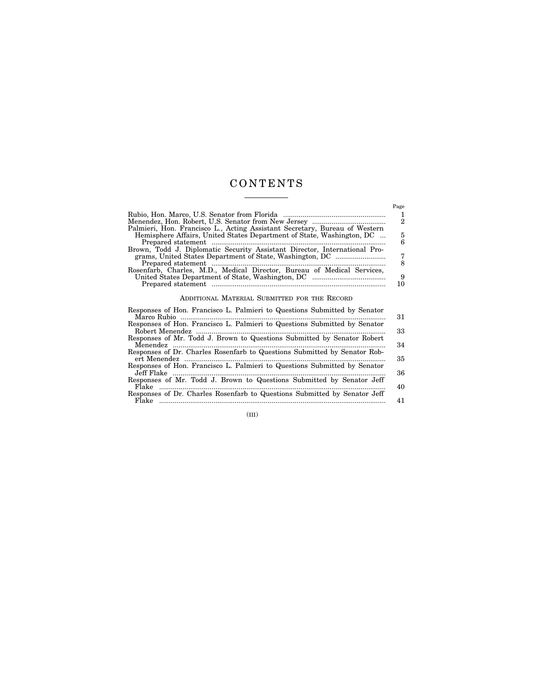# C O N T E N T S <u> 1999 - Johann Barnett, f</u>

 $\equiv$ 

|                                                                            | Page |
|----------------------------------------------------------------------------|------|
|                                                                            |      |
|                                                                            | 2    |
| Palmieri, Hon. Francisco L., Acting Assistant Secretary, Bureau of Western |      |
| Hemisphere Affairs, United States Department of State, Washington, DC      | 5    |
|                                                                            | 6    |
| Brown, Todd J. Diplomatic Security Assistant Director, International Pro-  |      |
|                                                                            | 7    |
|                                                                            | 8    |
| Rosenfarb, Charles, M.D., Medical Director, Bureau of Medical Services,    | 9    |
|                                                                            | 10   |
|                                                                            |      |
| ADDITIONAL MATERIAL SUBMITTED FOR THE RECORD                               |      |
|                                                                            |      |

| Responses of Hon. Francisco L. Palmieri to Questions Submitted by Senator |    |
|---------------------------------------------------------------------------|----|
|                                                                           | 31 |
| Responses of Hon. Francisco L. Palmieri to Questions Submitted by Senator |    |
|                                                                           | 33 |
| Responses of Mr. Todd J. Brown to Questions Submitted by Senator Robert   |    |
| Responses of Dr. Charles Rosenfarb to Questions Submitted by Senator Rob- | 34 |
|                                                                           | 35 |
| Responses of Hon. Francisco L. Palmieri to Questions Submitted by Senator |    |
|                                                                           | 36 |
| Responses of Mr. Todd J. Brown to Questions Submitted by Senator Jeff     |    |
| Flake                                                                     | 40 |
| Responses of Dr. Charles Rosenfarb to Questions Submitted by Senator Jeff |    |
| Flake                                                                     | 41 |

(III)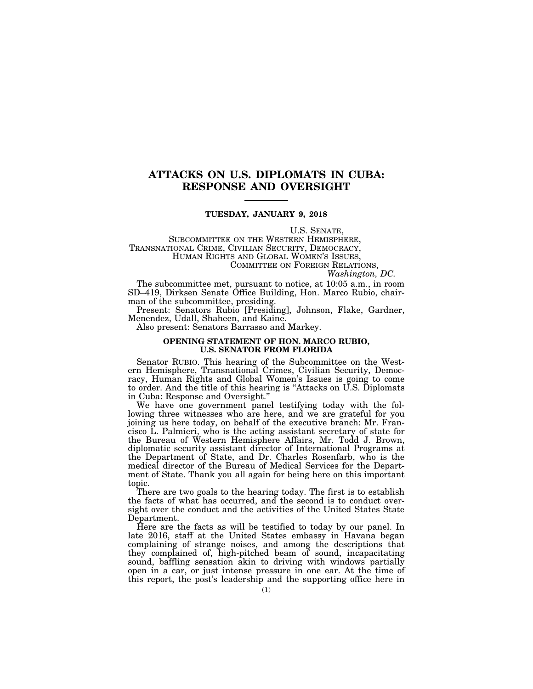# **ATTACKS ON U.S. DIPLOMATS IN CUBA: RESPONSE AND OVERSIGHT**

## **TUESDAY, JANUARY 9, 2018**

U.S. SENATE,<br>SUBCOMMITTEE ON THE WESTERN HEMISPHERE,<br>TRANSNATIONAL CRIME, CIVILIAN SECURITY, DEMOCRACY,<br>HUMAN RIGHTS AND GLOBAL WOMEN'S ISSUES,<br>COMMITTEE ON FOREIGN RELATIONS,<br>*Washington, DC.* 

The subcommittee met, pursuant to notice, at 10:05 a.m., in room SD–419, Dirksen Senate Office Building, Hon. Marco Rubio, chairman of the subcommittee, presiding.

Present: Senators Rubio [Presiding], Johnson, Flake, Gardner, Menendez, Udall, Shaheen, and Kaine.

Also present: Senators Barrasso and Markey.

# **OPENING STATEMENT OF HON. MARCO RUBIO, U.S. SENATOR FROM FLORIDA**

Senator RUBIO. This hearing of the Subcommittee on the Western Hemisphere, Transnational Crimes, Civilian Security, Democracy, Human Rights and Global Women's Issues is going to come to order. And the title of this hearing is ''Attacks on U.S. Diplomats in Cuba: Response and Oversight.''

We have one government panel testifying today with the following three witnesses who are here, and we are grateful for you joining us here today, on behalf of the executive branch: Mr. Francisco L. Palmieri, who is the acting assistant secretary of state for the Bureau of Western Hemisphere Affairs, Mr. Todd J. Brown, diplomatic security assistant director of International Programs at the Department of State, and Dr. Charles Rosenfarb, who is the medical director of the Bureau of Medical Services for the Department of State. Thank you all again for being here on this important topic.

There are two goals to the hearing today. The first is to establish the facts of what has occurred, and the second is to conduct oversight over the conduct and the activities of the United States State Department.

Here are the facts as will be testified to today by our panel. In late 2016, staff at the United States embassy in Havana began complaining of strange noises, and among the descriptions that they complained of, high-pitched beam of sound, incapacitating sound, baffling sensation akin to driving with windows partially open in a car, or just intense pressure in one ear. At the time of this report, the post's leadership and the supporting office here in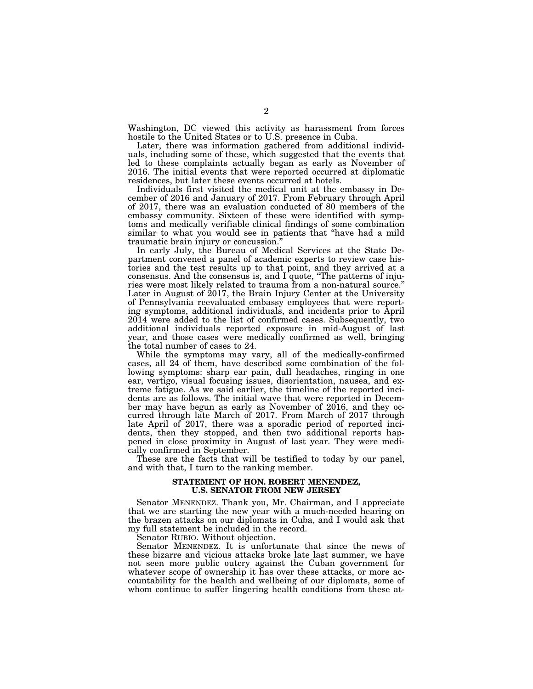Washington, DC viewed this activity as harassment from forces hostile to the United States or to U.S. presence in Cuba.

Later, there was information gathered from additional individuals, including some of these, which suggested that the events that led to these complaints actually began as early as November of 2016. The initial events that were reported occurred at diplomatic residences, but later these events occurred at hotels.

Individuals first visited the medical unit at the embassy in December of 2016 and January of 2017. From February through April of 2017, there was an evaluation conducted of 80 members of the embassy community. Sixteen of these were identified with symptoms and medically verifiable clinical findings of some combination similar to what you would see in patients that ''have had a mild traumatic brain injury or concussion.''

In early July, the Bureau of Medical Services at the State Department convened a panel of academic experts to review case histories and the test results up to that point, and they arrived at a consensus. And the consensus is, and I quote, ''The patterns of injuries were most likely related to trauma from a non-natural source.'' Later in August of 2017, the Brain Injury Center at the University of Pennsylvania reevaluated embassy employees that were reporting symptoms, additional individuals, and incidents prior to April 2014 were added to the list of confirmed cases. Subsequently, two additional individuals reported exposure in mid-August of last year, and those cases were medically confirmed as well, bringing the total number of cases to 24.

While the symptoms may vary, all of the medically-confirmed cases, all 24 of them, have described some combination of the following symptoms: sharp ear pain, dull headaches, ringing in one ear, vertigo, visual focusing issues, disorientation, nausea, and extreme fatigue. As we said earlier, the timeline of the reported incidents are as follows. The initial wave that were reported in December may have begun as early as November of 2016, and they occurred through late March of 2017. From March of 2017 through late April of 2017, there was a sporadic period of reported incidents, then they stopped, and then two additional reports happened in close proximity in August of last year. They were medically confirmed in September.

These are the facts that will be testified to today by our panel, and with that, I turn to the ranking member.

## **STATEMENT OF HON. ROBERT MENENDEZ, U.S. SENATOR FROM NEW JERSEY**

Senator MENENDEZ. Thank you, Mr. Chairman, and I appreciate that we are starting the new year with a much-needed hearing on the brazen attacks on our diplomats in Cuba, and I would ask that my full statement be included in the record.

Senator RUBIO. Without objection.

Senator MENENDEZ. It is unfortunate that since the news of these bizarre and vicious attacks broke late last summer, we have not seen more public outcry against the Cuban government for whatever scope of ownership it has over these attacks, or more accountability for the health and wellbeing of our diplomats, some of whom continue to suffer lingering health conditions from these at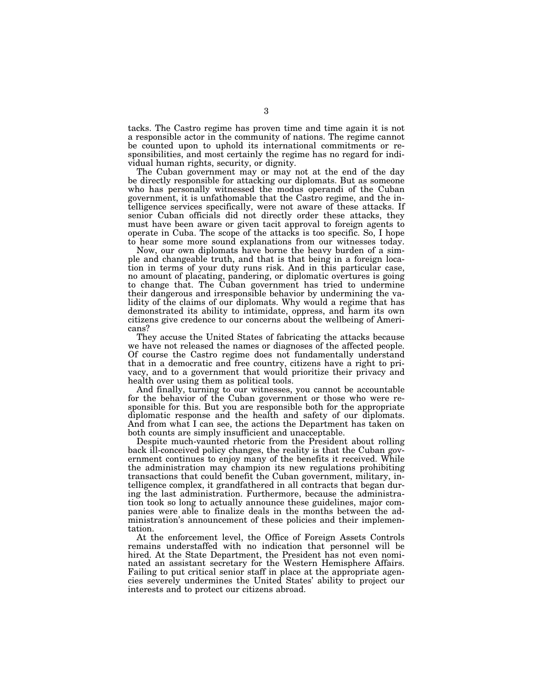tacks. The Castro regime has proven time and time again it is not a responsible actor in the community of nations. The regime cannot be counted upon to uphold its international commitments or responsibilities, and most certainly the regime has no regard for individual human rights, security, or dignity.

The Cuban government may or may not at the end of the day be directly responsible for attacking our diplomats. But as someone who has personally witnessed the modus operandi of the Cuban government, it is unfathomable that the Castro regime, and the intelligence services specifically, were not aware of these attacks. If senior Cuban officials did not directly order these attacks, they must have been aware or given tacit approval to foreign agents to operate in Cuba. The scope of the attacks is too specific. So, I hope to hear some more sound explanations from our witnesses today.

Now, our own diplomats have borne the heavy burden of a simple and changeable truth, and that is that being in a foreign location in terms of your duty runs risk. And in this particular case, no amount of placating, pandering, or diplomatic overtures is going to change that. The Cuban government has tried to undermine their dangerous and irresponsible behavior by undermining the validity of the claims of our diplomats. Why would a regime that has demonstrated its ability to intimidate, oppress, and harm its own citizens give credence to our concerns about the wellbeing of Americans?

They accuse the United States of fabricating the attacks because we have not released the names or diagnoses of the affected people. Of course the Castro regime does not fundamentally understand that in a democratic and free country, citizens have a right to privacy, and to a government that would prioritize their privacy and health over using them as political tools.

And finally, turning to our witnesses, you cannot be accountable for the behavior of the Cuban government or those who were responsible for this. But you are responsible both for the appropriate diplomatic response and the health and safety of our diplomats. And from what I can see, the actions the Department has taken on both counts are simply insufficient and unacceptable.

Despite much-vaunted rhetoric from the President about rolling back ill-conceived policy changes, the reality is that the Cuban government continues to enjoy many of the benefits it received. While the administration may champion its new regulations prohibiting transactions that could benefit the Cuban government, military, intelligence complex, it grandfathered in all contracts that began during the last administration. Furthermore, because the administration took so long to actually announce these guidelines, major companies were able to finalize deals in the months between the administration's announcement of these policies and their implementation.

At the enforcement level, the Office of Foreign Assets Controls remains understaffed with no indication that personnel will be hired. At the State Department, the President has not even nominated an assistant secretary for the Western Hemisphere Affairs. Failing to put critical senior staff in place at the appropriate agencies severely undermines the United States' ability to project our interests and to protect our citizens abroad.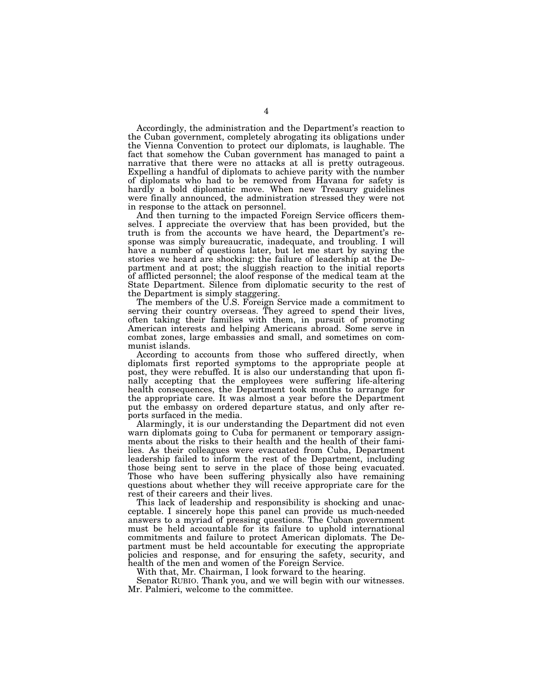Accordingly, the administration and the Department's reaction to the Cuban government, completely abrogating its obligations under the Vienna Convention to protect our diplomats, is laughable. The fact that somehow the Cuban government has managed to paint a narrative that there were no attacks at all is pretty outrageous. Expelling a handful of diplomats to achieve parity with the number of diplomats who had to be removed from Havana for safety is hardly a bold diplomatic move. When new Treasury guidelines were finally announced, the administration stressed they were not in response to the attack on personnel.

And then turning to the impacted Foreign Service officers themselves. I appreciate the overview that has been provided, but the truth is from the accounts we have heard, the Department's response was simply bureaucratic, inadequate, and troubling. I will have a number of questions later, but let me start by saying the stories we heard are shocking: the failure of leadership at the Department and at post; the sluggish reaction to the initial reports of afflicted personnel; the aloof response of the medical team at the State Department. Silence from diplomatic security to the rest of the Department is simply staggering.

The members of the U.S. Foreign Service made a commitment to serving their country overseas. They agreed to spend their lives, often taking their families with them, in pursuit of promoting American interests and helping Americans abroad. Some serve in combat zones, large embassies and small, and sometimes on communist islands.

According to accounts from those who suffered directly, when diplomats first reported symptoms to the appropriate people at post, they were rebuffed. It is also our understanding that upon finally accepting that the employees were suffering life-altering health consequences, the Department took months to arrange for the appropriate care. It was almost a year before the Department put the embassy on ordered departure status, and only after reports surfaced in the media.

Alarmingly, it is our understanding the Department did not even warn diplomats going to Cuba for permanent or temporary assignments about the risks to their health and the health of their families. As their colleagues were evacuated from Cuba, Department leadership failed to inform the rest of the Department, including those being sent to serve in the place of those being evacuated. Those who have been suffering physically also have remaining questions about whether they will receive appropriate care for the rest of their careers and their lives.

This lack of leadership and responsibility is shocking and unacceptable. I sincerely hope this panel can provide us much-needed answers to a myriad of pressing questions. The Cuban government must be held accountable for its failure to uphold international commitments and failure to protect American diplomats. The Department must be held accountable for executing the appropriate policies and response, and for ensuring the safety, security, and health of the men and women of the Foreign Service.

With that, Mr. Chairman, I look forward to the hearing.

Senator RUBIO. Thank you, and we will begin with our witnesses. Mr. Palmieri, welcome to the committee.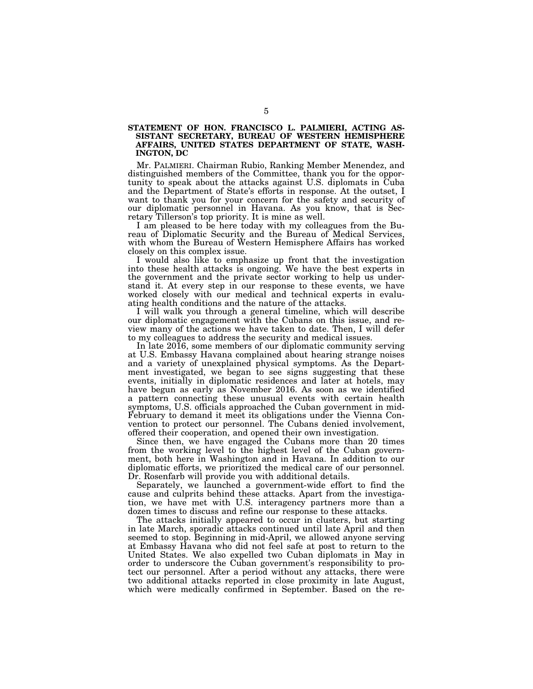# **STATEMENT OF HON. FRANCISCO L. PALMIERI, ACTING AS-SISTANT SECRETARY, BUREAU OF WESTERN HEMISPHERE AFFAIRS, UNITED STATES DEPARTMENT OF STATE, WASH-INGTON, DC**

Mr. PALMIERI. Chairman Rubio, Ranking Member Menendez, and distinguished members of the Committee, thank you for the opportunity to speak about the attacks against U.S. diplomats in Cuba and the Department of State's efforts in response. At the outset, I want to thank you for your concern for the safety and security of our diplomatic personnel in Havana. As you know, that is Secretary Tillerson's top priority. It is mine as well.

I am pleased to be here today with my colleagues from the Bureau of Diplomatic Security and the Bureau of Medical Services, with whom the Bureau of Western Hemisphere Affairs has worked closely on this complex issue.

I would also like to emphasize up front that the investigation into these health attacks is ongoing. We have the best experts in the government and the private sector working to help us understand it. At every step in our response to these events, we have worked closely with our medical and technical experts in evaluating health conditions and the nature of the attacks.

I will walk you through a general timeline, which will describe our diplomatic engagement with the Cubans on this issue, and review many of the actions we have taken to date. Then, I will defer to my colleagues to address the security and medical issues.

In late 2016, some members of our diplomatic community serving at U.S. Embassy Havana complained about hearing strange noises and a variety of unexplained physical symptoms. As the Department investigated, we began to see signs suggesting that these events, initially in diplomatic residences and later at hotels, may have begun as early as November 2016. As soon as we identified a pattern connecting these unusual events with certain health symptoms, U.S. officials approached the Cuban government in mid-February to demand it meet its obligations under the Vienna Convention to protect our personnel. The Cubans denied involvement, offered their cooperation, and opened their own investigation.

Since then, we have engaged the Cubans more than 20 times from the working level to the highest level of the Cuban government, both here in Washington and in Havana. In addition to our diplomatic efforts, we prioritized the medical care of our personnel. Dr. Rosenfarb will provide you with additional details.

Separately, we launched a government-wide effort to find the cause and culprits behind these attacks. Apart from the investigation, we have met with U.S. interagency partners more than a dozen times to discuss and refine our response to these attacks.

The attacks initially appeared to occur in clusters, but starting in late March, sporadic attacks continued until late April and then seemed to stop. Beginning in mid-April, we allowed anyone serving at Embassy Havana who did not feel safe at post to return to the United States. We also expelled two Cuban diplomats in May in order to underscore the Cuban government's responsibility to protect our personnel. After a period without any attacks, there were two additional attacks reported in close proximity in late August, which were medically confirmed in September. Based on the re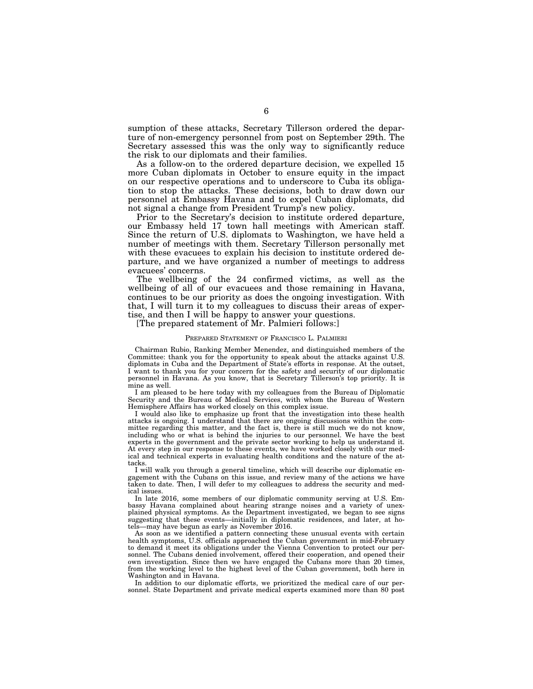sumption of these attacks, Secretary Tillerson ordered the departure of non-emergency personnel from post on September 29th. The Secretary assessed this was the only way to significantly reduce the risk to our diplomats and their families.

As a follow-on to the ordered departure decision, we expelled 15 more Cuban diplomats in October to ensure equity in the impact on our respective operations and to underscore to Cuba its obligation to stop the attacks. These decisions, both to draw down our personnel at Embassy Havana and to expel Cuban diplomats, did not signal a change from President Trump's new policy.

Prior to the Secretary's decision to institute ordered departure, our Embassy held 17 town hall meetings with American staff. Since the return of U.S. diplomats to Washington, we have held a number of meetings with them. Secretary Tillerson personally met with these evacuees to explain his decision to institute ordered departure, and we have organized a number of meetings to address evacuees' concerns.

The wellbeing of the 24 confirmed victims, as well as the wellbeing of all of our evacuees and those remaining in Havana, continues to be our priority as does the ongoing investigation. With that, I will turn it to my colleagues to discuss their areas of expertise, and then I will be happy to answer your questions.

[The prepared statement of Mr. Palmieri follows:]

#### PREPARED STATEMENT OF FRANCISCO L. PALMIERI

Chairman Rubio, Ranking Member Menendez, and distinguished members of the Committee: thank you for the opportunity to speak about the attacks against U.S. diplomats in Cuba and the Department of State's efforts in response. At the outset, I want to thank you for your concern for the safety and security of our diplomatic personnel in Havana. As you know, that is Secretary Tillerson's top priority. It is mine as well.

I am pleased to be here today with my colleagues from the Bureau of Diplomatic Security and the Bureau of Medical Services, with whom the Bureau of Western Hemisphere Affairs has worked closely on this complex issue.

I would also like to emphasize up front that the investigation into these health attacks is ongoing. I understand that there are ongoing discussions within the committee regarding this matter, and the fact is, there is still much we do not know, including who or what is behind the injuries to our personnel. We have the best experts in the government and the private sector working to help us understand it. At every step in our response to these events, we have worked closely with our medical and technical experts in evaluating health conditions and the nature of the attacks.

I will walk you through a general timeline, which will describe our diplomatic engagement with the Cubans on this issue, and review many of the actions we have taken to date. Then, I will defer to my colleagues to address the security and medical issues.

In late 2016, some members of our diplomatic community serving at U.S. Embassy Havana complained about hearing strange noises and a variety of unexplained physical symptoms. As the Department investigated, we began to see signs suggesting that these events—initially in diplomatic residences, and later, at hotels—may have begun as early as November 2016.

As soon as we identified a pattern connecting these unusual events with certain health symptoms, U.S. officials approached the Cuban government in mid-February to demand it meet its obligations under the Vienna Convention to protect our personnel. The Cubans denied involvement, offered their cooperation, and opened their own investigation. Since then we have engaged the Cubans more than 20 times, from the working level to the highest level of the Cuban government, both here in Washington and in Havana.

In addition to our diplomatic efforts, we prioritized the medical care of our personnel. State Department and private medical experts examined more than 80 post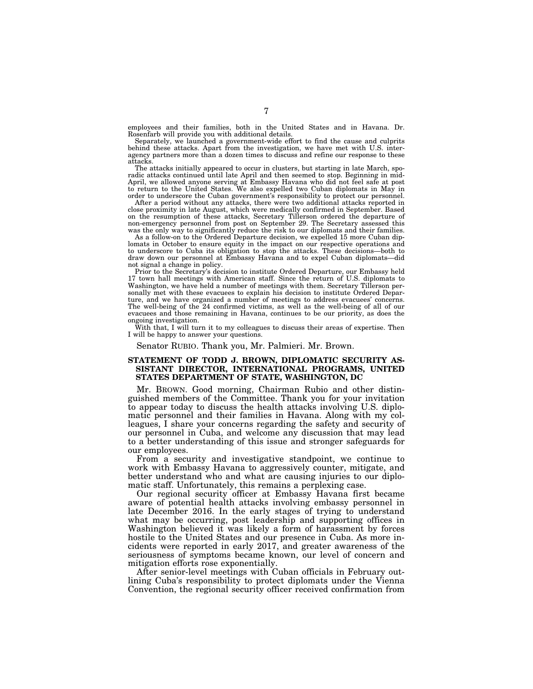employees and their families, both in the United States and in Havana. Dr. Rosenfarb will provide you with additional details.

Separately, we launched a government-wide effort to find the cause and culprits behind these attacks. Apart from the investigation, we have met with U.S. interagency partners more than a dozen times to discuss and refine our response to these attacks.

The attacks initially appeared to occur in clusters, but starting in late March, sporadic attacks continued until late April and then seemed to stop. Beginning in mid-April, we allowed anyone serving at Embassy Havana who did not feel safe at post<br>to return to the United States. We also expelled two Cuban diplomats in May in<br>order to underscore the Cuban government's responsibility to p

After a period without any attacks, there were two additional attacks reported in close proximity in late August, which were medically confirmed in September. Based on the resumption of these attacks, Secretary Tillerson ordered the departure of non-emergency personnel from post on September 29. The Secretary assessed this

was the only way to significantly reduce the risk to our diplomats and their families. As a follow-on to the Ordered Departure decision, we expelled 15 more Cuban diplomats in October to ensure equity in the impact on our respective operations and to underscore to Cuba its obligation to stop the attacks. These decisions—both to draw down our personnel at Embassy Havana and to expel Cuban diplomats—did not signal a change in policy.

Prior to the Secretary's decision to institute Ordered Departure, our Embassy held 17 town hall meetings with American staff. Since the return of U.S. diplomats to Washington, we have held a number of meetings with them. Secretary Tillerson personally met with these evacuees to explain his decision to institute Ordered Departure, and we have organized a number of meetings to address evacuees' concerns. The well-being of the 24 confirmed victims, as well as the well-being of all of our evacuees and those remaining in Havana, continues to be our priority, as does the ongoing investigation.

With that, I will turn it to my colleagues to discuss their areas of expertise. Then I will be happy to answer your questions.

Senator RUBIO. Thank you, Mr. Palmieri. Mr. Brown.

## **STATEMENT OF TODD J. BROWN, DIPLOMATIC SECURITY AS-SISTANT DIRECTOR, INTERNATIONAL PROGRAMS, UNITED STATES DEPARTMENT OF STATE, WASHINGTON, DC**

Mr. BROWN. Good morning, Chairman Rubio and other distinguished members of the Committee. Thank you for your invitation to appear today to discuss the health attacks involving U.S. diplomatic personnel and their families in Havana. Along with my colleagues, I share your concerns regarding the safety and security of our personnel in Cuba, and welcome any discussion that may lead to a better understanding of this issue and stronger safeguards for our employees.

From a security and investigative standpoint, we continue to work with Embassy Havana to aggressively counter, mitigate, and better understand who and what are causing injuries to our diplomatic staff. Unfortunately, this remains a perplexing case.

Our regional security officer at Embassy Havana first became aware of potential health attacks involving embassy personnel in late December 2016. In the early stages of trying to understand what may be occurring, post leadership and supporting offices in Washington believed it was likely a form of harassment by forces hostile to the United States and our presence in Cuba. As more incidents were reported in early 2017, and greater awareness of the seriousness of symptoms became known, our level of concern and mitigation efforts rose exponentially.

After senior-level meetings with Cuban officials in February outlining Cuba's responsibility to protect diplomats under the Vienna Convention, the regional security officer received confirmation from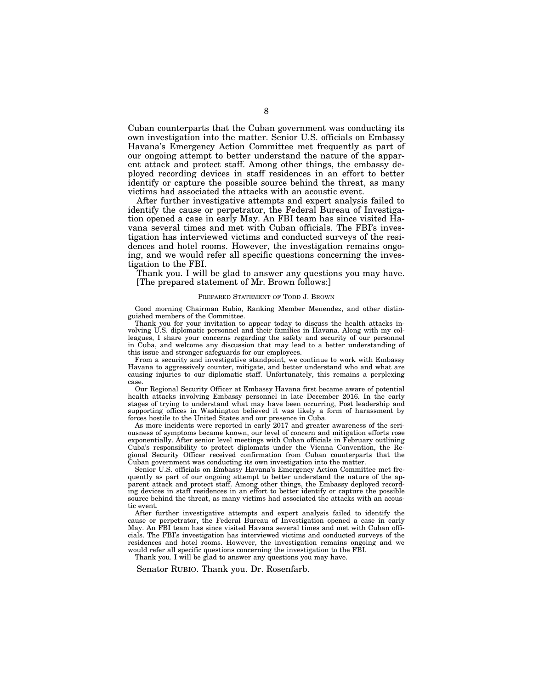Cuban counterparts that the Cuban government was conducting its own investigation into the matter. Senior U.S. officials on Embassy Havana's Emergency Action Committee met frequently as part of our ongoing attempt to better understand the nature of the apparent attack and protect staff. Among other things, the embassy deployed recording devices in staff residences in an effort to better identify or capture the possible source behind the threat, as many victims had associated the attacks with an acoustic event.

After further investigative attempts and expert analysis failed to identify the cause or perpetrator, the Federal Bureau of Investigation opened a case in early May. An FBI team has since visited Havana several times and met with Cuban officials. The FBI's investigation has interviewed victims and conducted surveys of the residences and hotel rooms. However, the investigation remains ongoing, and we would refer all specific questions concerning the investigation to the FBI.

Thank you. I will be glad to answer any questions you may have. [The prepared statement of Mr. Brown follows:]

#### PREPARED STATEMENT OF TODD J. BROWN

Good morning Chairman Rubio, Ranking Member Menendez, and other distinguished members of the Committee.

Thank you for your invitation to appear today to discuss the health attacks involving U.S. diplomatic personnel and their families in Havana. Along with my colleagues, I share your concerns regarding the safety and security of our personnel in Cuba, and welcome any discussion that may lead to a better understanding of this issue and stronger safeguards for our employees.

From a security and investigative standpoint, we continue to work with Embassy Havana to aggressively counter, mitigate, and better understand who and what are causing injuries to our diplomatic staff. Unfortunately, this remains a perplexing case.

Our Regional Security Officer at Embassy Havana first became aware of potential health attacks involving Embassy personnel in late December 2016. In the early stages of trying to understand what may have been occurring, Post leadership and supporting offices in Washington believed it was likely a form of harassment by forces hostile to the United States and our presence in Cuba.

As more incidents were reported in early 2017 and greater awareness of the seriousness of symptoms became known, our level of concern and mitigation efforts rose exponentially. After senior level meetings with Cuban officials in February outlining Cuba's responsibility to protect diplomats under the Vienna Convention, the Regional Security Officer received confirmation from Cuban counterparts that the Cuban government was conducting its own investigation into the matter.

Senior U.S. officials on Embassy Havana's Emergency Action Committee met frequently as part of our ongoing attempt to better understand the nature of the apparent attack and protect staff. Among other things, the Embassy deployed recording devices in staff residences in an effort to better identify or capture the possible source behind the threat, as many victims had associated the attacks with an acoustic event.

After further investigative attempts and expert analysis failed to identify the cause or perpetrator, the Federal Bureau of Investigation opened a case in early May. An FBI team has since visited Havana several times and met with Cuban officials. The FBI's investigation has interviewed victims and conducted surveys of the residences and hotel rooms. However, the investigation remains ongoing and we would refer all specific questions concerning the investigation to the FBI.

Thank you. I will be glad to answer any questions you may have.

Senator RUBIO. Thank you. Dr. Rosenfarb.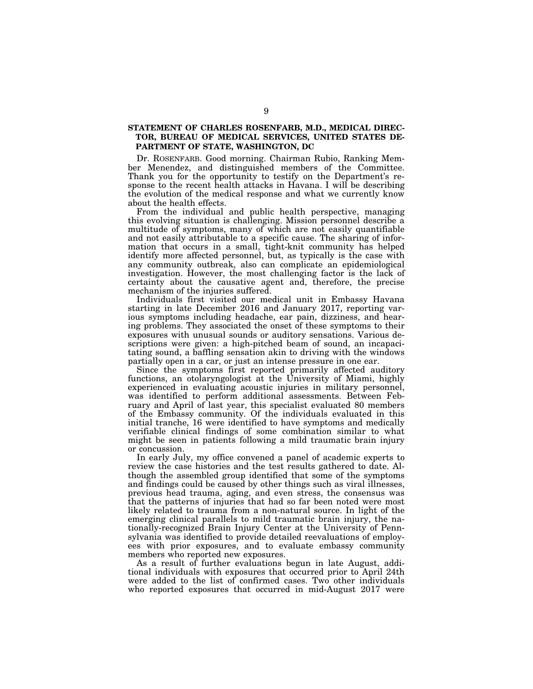# **STATEMENT OF CHARLES ROSENFARB, M.D., MEDICAL DIREC-TOR, BUREAU OF MEDICAL SERVICES, UNITED STATES DE-PARTMENT OF STATE, WASHINGTON, DC**

Dr. ROSENFARB. Good morning. Chairman Rubio, Ranking Member Menendez, and distinguished members of the Committee. Thank you for the opportunity to testify on the Department's response to the recent health attacks in Havana. I will be describing the evolution of the medical response and what we currently know about the health effects.

From the individual and public health perspective, managing this evolving situation is challenging. Mission personnel describe a multitude of symptoms, many of which are not easily quantifiable and not easily attributable to a specific cause. The sharing of information that occurs in a small, tight-knit community has helped identify more affected personnel, but, as typically is the case with any community outbreak, also can complicate an epidemiological investigation. However, the most challenging factor is the lack of certainty about the causative agent and, therefore, the precise mechanism of the injuries suffered.

Individuals first visited our medical unit in Embassy Havana starting in late December 2016 and January 2017, reporting various symptoms including headache, ear pain, dizziness, and hearing problems. They associated the onset of these symptoms to their exposures with unusual sounds or auditory sensations. Various descriptions were given: a high-pitched beam of sound, an incapacitating sound, a baffling sensation akin to driving with the windows partially open in a car, or just an intense pressure in one ear.

Since the symptoms first reported primarily affected auditory functions, an otolaryngologist at the University of Miami, highly experienced in evaluating acoustic injuries in military personnel, was identified to perform additional assessments. Between February and April of last year, this specialist evaluated 80 members of the Embassy community. Of the individuals evaluated in this initial tranche, 16 were identified to have symptoms and medically verifiable clinical findings of some combination similar to what might be seen in patients following a mild traumatic brain injury or concussion.

In early July, my office convened a panel of academic experts to review the case histories and the test results gathered to date. Although the assembled group identified that some of the symptoms and findings could be caused by other things such as viral illnesses, previous head trauma, aging, and even stress, the consensus was that the patterns of injuries that had so far been noted were most likely related to trauma from a non-natural source. In light of the emerging clinical parallels to mild traumatic brain injury, the nationally-recognized Brain Injury Center at the University of Pennsylvania was identified to provide detailed reevaluations of employees with prior exposures, and to evaluate embassy community members who reported new exposures.

As a result of further evaluations begun in late August, additional individuals with exposures that occurred prior to April 24th were added to the list of confirmed cases. Two other individuals who reported exposures that occurred in mid-August 2017 were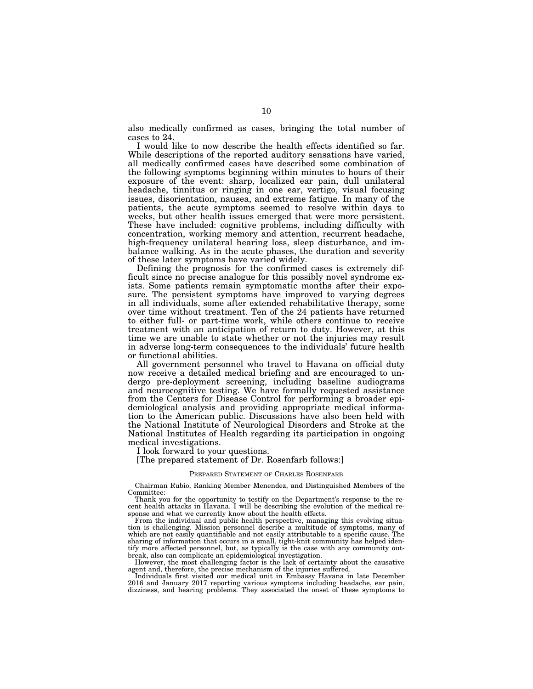also medically confirmed as cases, bringing the total number of cases to 24.

I would like to now describe the health effects identified so far. While descriptions of the reported auditory sensations have varied, all medically confirmed cases have described some combination of the following symptoms beginning within minutes to hours of their exposure of the event: sharp, localized ear pain, dull unilateral headache, tinnitus or ringing in one ear, vertigo, visual focusing issues, disorientation, nausea, and extreme fatigue. In many of the patients, the acute symptoms seemed to resolve within days to weeks, but other health issues emerged that were more persistent. These have included: cognitive problems, including difficulty with concentration, working memory and attention, recurrent headache, high-frequency unilateral hearing loss, sleep disturbance, and imbalance walking. As in the acute phases, the duration and severity of these later symptoms have varied widely.

Defining the prognosis for the confirmed cases is extremely difficult since no precise analogue for this possibly novel syndrome exists. Some patients remain symptomatic months after their exposure. The persistent symptoms have improved to varying degrees in all individuals, some after extended rehabilitative therapy, some over time without treatment. Ten of the 24 patients have returned to either full- or part-time work, while others continue to receive treatment with an anticipation of return to duty. However, at this time we are unable to state whether or not the injuries may result in adverse long-term consequences to the individuals' future health or functional abilities.

All government personnel who travel to Havana on official duty now receive a detailed medical briefing and are encouraged to undergo pre-deployment screening, including baseline audiograms and neurocognitive testing. We have formally requested assistance from the Centers for Disease Control for performing a broader epidemiological analysis and providing appropriate medical information to the American public. Discussions have also been held with the National Institute of Neurological Disorders and Stroke at the National Institutes of Health regarding its participation in ongoing medical investigations.

I look forward to your questions.

[The prepared statement of Dr. Rosenfarb follows:]

#### PREPARED STATEMENT OF CHARLES ROSENFARB

Chairman Rubio, Ranking Member Menendez, and Distinguished Members of the Committee:

Thank you for the opportunity to testify on the Department's response to the recent health attacks in Havana. I will be describing the evolution of the medical response and what we currently know about the health effects.

From the individual and public health perspective, managing this evolving situation is challenging. Mission personnel describe a multitude of symptoms, many of which are not easily quantifiable and not easily attributable to a specific cause. The sharing of information that occurs in a small, tight-knit community has helped identify more affected personnel, but, as typically is the case with any community outbreak, also can complicate an epidemiological investigation.

However, the most challenging factor is the lack of certainty about the causative agent and, therefore, the precise mechanism of the injuries suffered.

Individuals first visited our medical unit in Embassy Havana in late December 2016 and January 2017 reporting various symptoms including headache, ear pain, dizziness, and hearing problems. They associated the onset of these symptoms to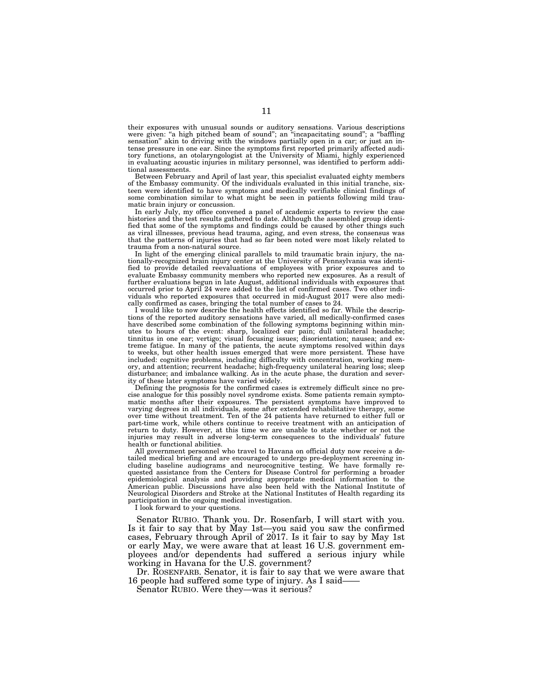their exposures with unusual sounds or auditory sensations. Various descriptions were given: "a high pitched beam of sound"; an "incapacitating sound"; a "baffling sensation'' akin to driving with the windows partially open in a car; or just an intense pressure in one ear. Since the symptoms first reported primarily affected auditory functions, an otolaryngologist at the University of Miami, highly experienced in evaluating acoustic injuries in military personnel, was identified to perform additional assessments.

Between February and April of last year, this specialist evaluated eighty members of the Embassy community. Of the individuals evaluated in this initial tranche, sixteen were identified to have symptoms and medically verifiable clinical findings of some combination similar to what might be seen in patients following mild traumatic brain injury or concussion.

In early July, my office convened a panel of academic experts to review the case histories and the test results gathered to date. Although the assembled group identified that some of the symptoms and findings could be caused by other things such as viral illnesses, previous head trauma, aging, and even stress, the consensus was that the patterns of injuries that had so far been noted were most likely related to trauma from a non-natural source.

In light of the emerging clinical parallels to mild traumatic brain injury, the nationally-recognized brain injury center at the University of Pennsylvania was identified to provide detailed reevaluations of employees with prior exposures and to evaluate Embassy community members who reported new exposures. As a result of further evaluations begun in late August, additional individuals with exposures that occurred prior to April 24 were added to the list of confirmed cases. Two other individuals who reported exposures that occurred in mid-August 2017 were also medically confirmed as cases, bringing the total number of cases to 24.

I would like to now describe the health effects identified so far. While the descriptions of the reported auditory sensations have varied, all medically-confirmed cases have described some combination of the following symptoms beginning within minutes to hours of the event: sharp, localized ear pain; dull unilateral headache; tinnitus in one ear; vertigo; visual focusing issues; disorientation; nausea; and extreme fatigue. In many of the patients, the acute symptoms resolved within days to weeks, but other health issues emerged that were more persistent. These have included: cognitive problems, including difficulty with concentration, working memory, and attention; recurrent headache; high-frequency unilateral hearing loss; sleep disturbance; and imbalance walking. As in the acute phase, the duration and severity of these later symptoms have varied widely.

Defining the prognosis for the confirmed cases is extremely difficult since no precise analogue for this possibly novel syndrome exists. Some patients remain symptomatic months after their exposures. The persistent symptoms have improved to varying degrees in all individuals, some after extended rehabilitative therapy, some over time without treatment. Ten of the 24 patients have returned to either full or part-time work, while others continue to receive treatment with an anticipation of return to duty. However, at this time we are unable to state whether or not the injuries may result in adverse long-term consequences to the individuals' future health or functional abilities.

All government personnel who travel to Havana on official duty now receive a detailed medical briefing and are encouraged to undergo pre-deployment screening including baseline audiograms and neurocognitive testing. We have formally requested assistance from the Centers for Disease Control for performing a broader epidemiological analysis and providing appropriate medical information to the American public. Discussions have also been held with the National Institute of Neurological Disorders and Stroke at the National Institutes of Health regarding its participation in the ongoing medical investigation.

I look forward to your questions.

Senator RUBIO. Thank you. Dr. Rosenfarb, I will start with you. Is it fair to say that by May 1st—you said you saw the confirmed cases, February through April of 2017. Is it fair to say by May 1st or early May, we were aware that at least 16 U.S. government employees and/or dependents had suffered a serious injury while working in Havana for the U.S. government?

Dr. ROSENFARB. Senator, it is fair to say that we were aware that 16 people had suffered some type of injury. As I said——

Senator RUBIO. Were they—was it serious?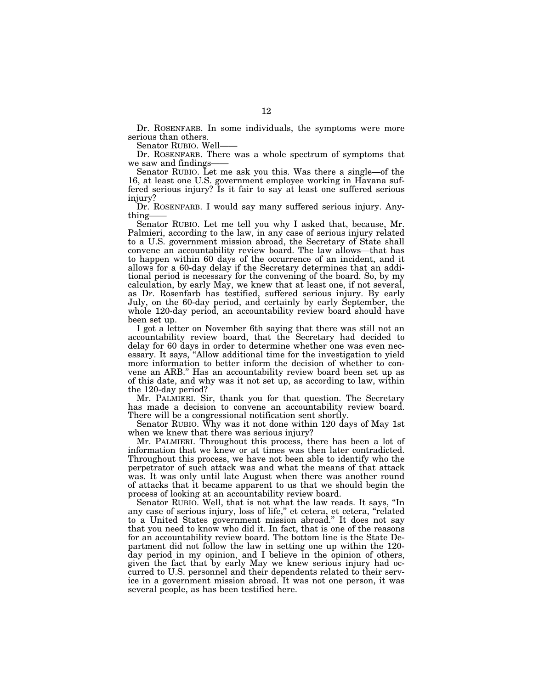Dr. ROSENFARB. In some individuals, the symptoms were more serious than others.

Senator RUBIO. Well-

Dr. ROSENFARB. There was a whole spectrum of symptoms that we saw and findings-

Senator RUBIO. Let me ask you this. Was there a single—of the 16, at least one U.S. government employee working in Havana suffered serious injury? Is it fair to say at least one suffered serious injury?

Dr. ROSENFARB. I would say many suffered serious injury. Anything-

Senator RUBIO. Let me tell you why I asked that, because, Mr. Palmieri, according to the law, in any case of serious injury related to a U.S. government mission abroad, the Secretary of State shall convene an accountability review board. The law allows—that has to happen within 60 days of the occurrence of an incident, and it allows for a 60-day delay if the Secretary determines that an additional period is necessary for the convening of the board. So, by my calculation, by early May, we knew that at least one, if not several, as Dr. Rosenfarb has testified, suffered serious injury. By early July, on the 60-day period, and certainly by early September, the whole 120-day period, an accountability review board should have been set up.

I got a letter on November 6th saying that there was still not an accountability review board, that the Secretary had decided to delay for 60 days in order to determine whether one was even necessary. It says, ''Allow additional time for the investigation to yield more information to better inform the decision of whether to convene an ARB.'' Has an accountability review board been set up as of this date, and why was it not set up, as according to law, within the 120-day period?

Mr. PALMIERI. Sir, thank you for that question. The Secretary has made a decision to convene an accountability review board. There will be a congressional notification sent shortly.

Senator RUBIO. Why was it not done within 120 days of May 1st when we knew that there was serious injury?

Mr. PALMIERI. Throughout this process, there has been a lot of information that we knew or at times was then later contradicted. Throughout this process, we have not been able to identify who the perpetrator of such attack was and what the means of that attack was. It was only until late August when there was another round of attacks that it became apparent to us that we should begin the process of looking at an accountability review board.

Senator RUBIO. Well, that is not what the law reads. It says, ''In any case of serious injury, loss of life,'' et cetera, et cetera, ''related to a United States government mission abroad.'' It does not say that you need to know who did it. In fact, that is one of the reasons for an accountability review board. The bottom line is the State Department did not follow the law in setting one up within the 120 day period in my opinion, and I believe in the opinion of others, given the fact that by early May we knew serious injury had occurred to U.S. personnel and their dependents related to their service in a government mission abroad. It was not one person, it was several people, as has been testified here.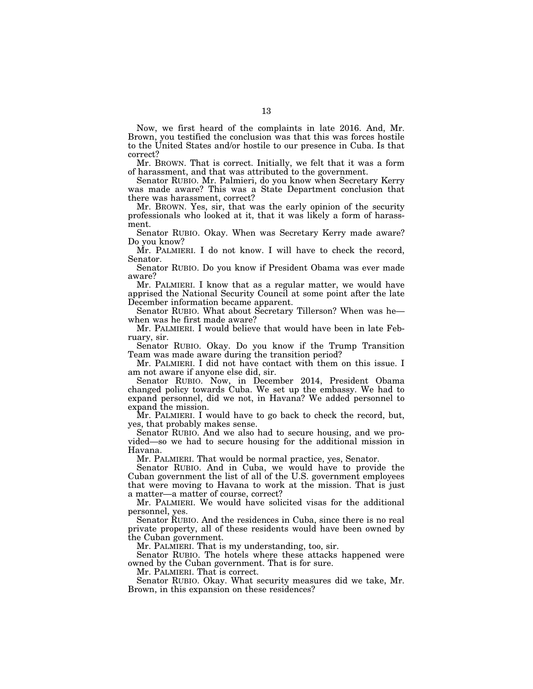Now, we first heard of the complaints in late 2016. And, Mr. Brown, you testified the conclusion was that this was forces hostile to the United States and/or hostile to our presence in Cuba. Is that correct?

Mr. BROWN. That is correct. Initially, we felt that it was a form of harassment, and that was attributed to the government.

Senator RUBIO. Mr. Palmieri, do you know when Secretary Kerry was made aware? This was a State Department conclusion that there was harassment, correct?

Mr. BROWN. Yes, sir, that was the early opinion of the security professionals who looked at it, that it was likely a form of harassment.

Senator RUBIO. Okay. When was Secretary Kerry made aware? Do you know?

Mr. PALMIERI. I do not know. I will have to check the record, Senator.

Senator RUBIO. Do you know if President Obama was ever made aware?

Mr. PALMIERI. I know that as a regular matter, we would have apprised the National Security Council at some point after the late December information became apparent.

Senator RUBIO. What about Secretary Tillerson? When was hewhen was he first made aware?

Mr. PALMIERI. I would believe that would have been in late February, sir.

Senator RUBIO. Okay. Do you know if the Trump Transition Team was made aware during the transition period?

Mr. PALMIERI. I did not have contact with them on this issue. I am not aware if anyone else did, sir.

Senator RUBIO. Now, in December 2014, President Obama changed policy towards Cuba. We set up the embassy. We had to expand personnel, did we not, in Havana? We added personnel to expand the mission.

Mr. PALMIERI. I would have to go back to check the record, but, yes, that probably makes sense.

Senator RUBIO. And we also had to secure housing, and we provided—so we had to secure housing for the additional mission in Havana.

Mr. PALMIERI. That would be normal practice, yes, Senator.

Senator RUBIO. And in Cuba, we would have to provide the Cuban government the list of all of the U.S. government employees that were moving to Havana to work at the mission. That is just a matter—a matter of course, correct?

Mr. PALMIERI. We would have solicited visas for the additional personnel, yes.

Senator RUBIO. And the residences in Cuba, since there is no real private property, all of these residents would have been owned by the Cuban government.

Mr. PALMIERI. That is my understanding, too, sir.

Senator RUBIO. The hotels where these attacks happened were owned by the Cuban government. That is for sure.

Mr. PALMIERI. That is correct.

Senator RUBIO. Okay. What security measures did we take, Mr. Brown, in this expansion on these residences?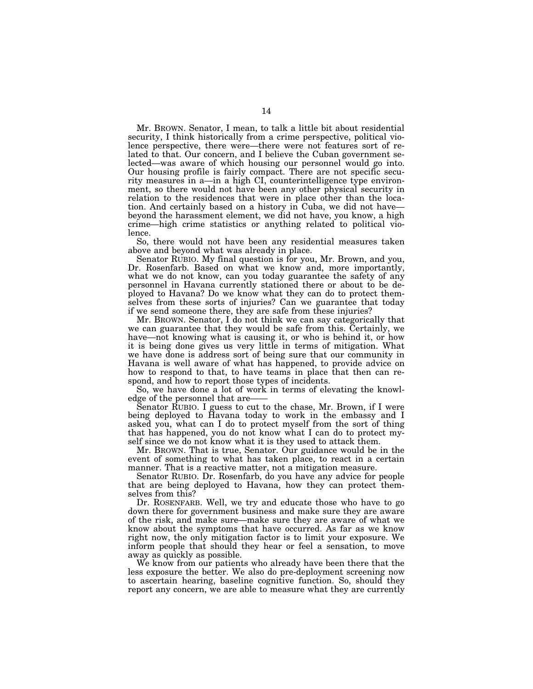Mr. BROWN. Senator, I mean, to talk a little bit about residential security, I think historically from a crime perspective, political violence perspective, there were—there were not features sort of related to that. Our concern, and I believe the Cuban government selected—was aware of which housing our personnel would go into. Our housing profile is fairly compact. There are not specific security measures in a—in a high CI, counterintelligence type environment, so there would not have been any other physical security in relation to the residences that were in place other than the location. And certainly based on a history in Cuba, we did not have beyond the harassment element, we did not have, you know, a high crime—high crime statistics or anything related to political violence.

So, there would not have been any residential measures taken above and beyond what was already in place.

Senator RUBIO. My final question is for you, Mr. Brown, and you, Dr. Rosenfarb. Based on what we know and, more importantly, what we do not know, can you today guarantee the safety of any personnel in Havana currently stationed there or about to be deployed to Havana? Do we know what they can do to protect themselves from these sorts of injuries? Can we guarantee that today if we send someone there, they are safe from these injuries?

Mr. BROWN. Senator, I do not think we can say categorically that we can guarantee that they would be safe from this. Certainly, we have—not knowing what is causing it, or who is behind it, or how it is being done gives us very little in terms of mitigation. What we have done is address sort of being sure that our community in Havana is well aware of what has happened, to provide advice on how to respond to that, to have teams in place that then can respond, and how to report those types of incidents.

So, we have done a lot of work in terms of elevating the knowledge of the personnel that are-

Senator RUBIO. I guess to cut to the chase, Mr. Brown, if I were being deployed to Havana today to work in the embassy and I asked you, what can I do to protect myself from the sort of thing that has happened, you do not know what I can do to protect myself since we do not know what it is they used to attack them.

Mr. BROWN. That is true, Senator. Our guidance would be in the event of something to what has taken place, to react in a certain manner. That is a reactive matter, not a mitigation measure.

Senator RUBIO. Dr. Rosenfarb, do you have any advice for people that are being deployed to Havana, how they can protect themselves from this?

Dr. ROSENFARB. Well, we try and educate those who have to go down there for government business and make sure they are aware of the risk, and make sure—make sure they are aware of what we know about the symptoms that have occurred. As far as we know right now, the only mitigation factor is to limit your exposure. We inform people that should they hear or feel a sensation, to move away as quickly as possible.

We know from our patients who already have been there that the less exposure the better. We also do pre-deployment screening now to ascertain hearing, baseline cognitive function. So, should they report any concern, we are able to measure what they are currently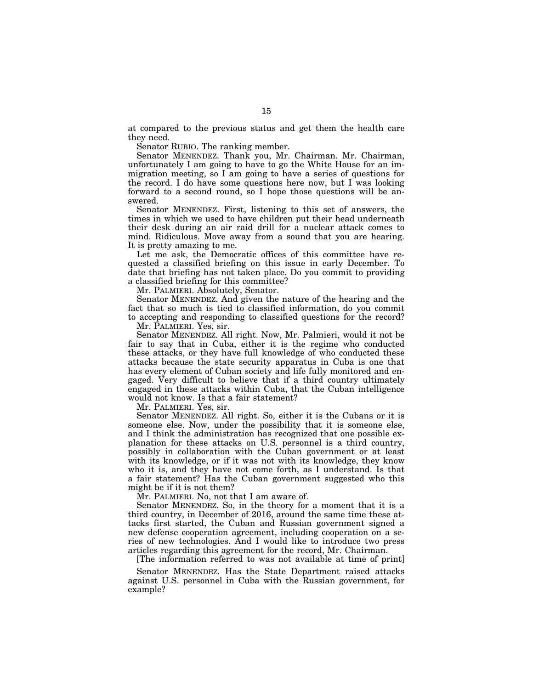at compared to the previous status and get them the health care they need.

Senator RUBIO. The ranking member.

Senator MENENDEZ. Thank you, Mr. Chairman. Mr. Chairman, unfortunately I am going to have to go the White House for an immigration meeting, so I am going to have a series of questions for the record. I do have some questions here now, but I was looking forward to a second round, so I hope those questions will be answered.

Senator MENENDEZ. First, listening to this set of answers, the times in which we used to have children put their head underneath their desk during an air raid drill for a nuclear attack comes to mind. Ridiculous. Move away from a sound that you are hearing. It is pretty amazing to me.

Let me ask, the Democratic offices of this committee have requested a classified briefing on this issue in early December. To date that briefing has not taken place. Do you commit to providing a classified briefing for this committee?

Mr. PALMIERI. Absolutely, Senator.

Senator MENENDEZ. And given the nature of the hearing and the fact that so much is tied to classified information, do you commit to accepting and responding to classified questions for the record?

Mr. PALMIERI. Yes, sir.

Senator MENENDEZ. All right. Now, Mr. Palmieri, would it not be fair to say that in Cuba, either it is the regime who conducted these attacks, or they have full knowledge of who conducted these attacks because the state security apparatus in Cuba is one that has every element of Cuban society and life fully monitored and engaged. Very difficult to believe that if a third country ultimately engaged in these attacks within Cuba, that the Cuban intelligence would not know. Is that a fair statement?

Mr. PALMIERI. Yes, sir.

Senator MENENDEZ. All right. So, either it is the Cubans or it is someone else. Now, under the possibility that it is someone else, and I think the administration has recognized that one possible explanation for these attacks on U.S. personnel is a third country, possibly in collaboration with the Cuban government or at least with its knowledge, or if it was not with its knowledge, they know who it is, and they have not come forth, as I understand. Is that a fair statement? Has the Cuban government suggested who this might be if it is not them?

Mr. PALMIERI. No, not that I am aware of.

Senator MENENDEZ. So, in the theory for a moment that it is a third country, in December of 2016, around the same time these attacks first started, the Cuban and Russian government signed a new defense cooperation agreement, including cooperation on a series of new technologies. And I would like to introduce two press articles regarding this agreement for the record, Mr. Chairman.

[The information referred to was not available at time of print]

Senator MENENDEZ. Has the State Department raised attacks against U.S. personnel in Cuba with the Russian government, for example?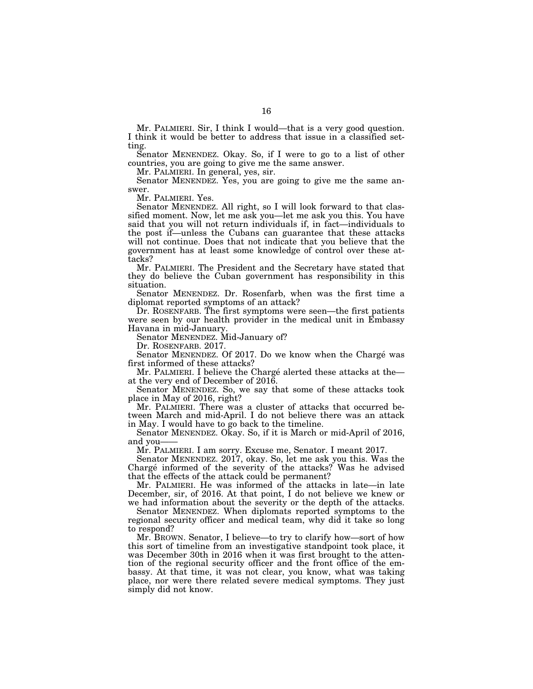Mr. PALMIERI. Sir, I think I would—that is a very good question. I think it would be better to address that issue in a classified setting.

Senator MENENDEZ. Okay. So, if I were to go to a list of other countries, you are going to give me the same answer.

Mr. PALMIERI. In general, yes, sir.

Senator MENENDEZ. Yes, you are going to give me the same answer.

Mr. PALMIERI. Yes.

Senator MENENDEZ. All right, so I will look forward to that classified moment. Now, let me ask you—let me ask you this. You have said that you will not return individuals if, in fact—individuals to the post if—unless the Cubans can guarantee that these attacks will not continue. Does that not indicate that you believe that the government has at least some knowledge of control over these attacks?

Mr. PALMIERI. The President and the Secretary have stated that they do believe the Cuban government has responsibility in this situation.

Senator MENENDEZ. Dr. Rosenfarb, when was the first time a diplomat reported symptoms of an attack?

Dr. ROSENFARB. The first symptoms were seen—the first patients were seen by our health provider in the medical unit in Embassy Havana in mid-January.

Senator MENENDEZ. Mid-January of?

Dr. ROSENFARB. 2017.

Senator MENENDEZ. Of 2017. Do we know when the Chargé was first informed of these attacks?

Mr. PALMIERI. I believe the Chargé alerted these attacks at theat the very end of December of 2016.

Senator MENENDEZ. So, we say that some of these attacks took place in May of 2016, right?

Mr. PALMIERI. There was a cluster of attacks that occurred between March and mid-April. I do not believe there was an attack in May. I would have to go back to the timeline.

Senator MENENDEZ. Okay. So, if it is March or mid-April of 2016, and you-

Mr. PALMIERI. I am sorry. Excuse me, Senator. I meant 2017.

Senator MENENDEZ. 2017, okay. So, let me ask you this. Was the Chargé informed of the severity of the attacks? Was he advised that the effects of the attack could be permanent?

Mr. PALMIERI. He was informed of the attacks in late—in late December, sir, of 2016. At that point, I do not believe we knew or we had information about the severity or the depth of the attacks.

Senator MENENDEZ. When diplomats reported symptoms to the regional security officer and medical team, why did it take so long to respond?

Mr. BROWN. Senator, I believe—to try to clarify how—sort of how this sort of timeline from an investigative standpoint took place, it was December 30th in 2016 when it was first brought to the attention of the regional security officer and the front office of the embassy. At that time, it was not clear, you know, what was taking place, nor were there related severe medical symptoms. They just simply did not know.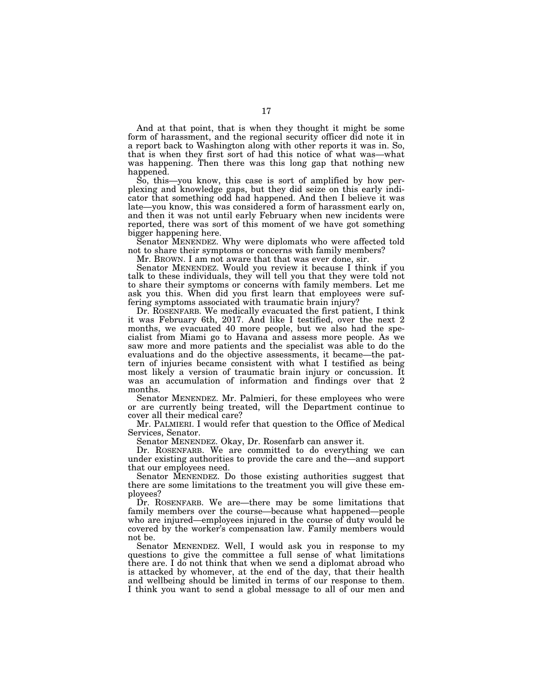And at that point, that is when they thought it might be some form of harassment, and the regional security officer did note it in a report back to Washington along with other reports it was in. So, that is when they first sort of had this notice of what was—what was happening. Then there was this long gap that nothing new happened.

So, this—you know, this case is sort of amplified by how perplexing and knowledge gaps, but they did seize on this early indicator that something odd had happened. And then I believe it was late—you know, this was considered a form of harassment early on, and then it was not until early February when new incidents were reported, there was sort of this moment of we have got something bigger happening here.

Senator MENENDEZ. Why were diplomats who were affected told not to share their symptoms or concerns with family members?

Mr. BROWN. I am not aware that that was ever done, sir.

Senator MENENDEZ. Would you review it because I think if you talk to these individuals, they will tell you that they were told not to share their symptoms or concerns with family members. Let me ask you this. When did you first learn that employees were suffering symptoms associated with traumatic brain injury?

Dr. ROSENFARB. We medically evacuated the first patient, I think it was February 6th, 2017. And like I testified, over the next 2 months, we evacuated 40 more people, but we also had the specialist from Miami go to Havana and assess more people. As we saw more and more patients and the specialist was able to do the evaluations and do the objective assessments, it became—the pattern of injuries became consistent with what I testified as being most likely a version of traumatic brain injury or concussion. It was an accumulation of information and findings over that 2 months.

Senator MENENDEZ. Mr. Palmieri, for these employees who were or are currently being treated, will the Department continue to cover all their medical care?

Mr. PALMIERI. I would refer that question to the Office of Medical Services, Senator.

Senator MENENDEZ. Okay, Dr. Rosenfarb can answer it.

Dr. ROSENFARB. We are committed to do everything we can under existing authorities to provide the care and the—and support that our employees need.

Senator MENENDEZ. Do those existing authorities suggest that there are some limitations to the treatment you will give these employees?

Dr. ROSENFARB. We are—there may be some limitations that family members over the course—because what happened—people who are injured—employees injured in the course of duty would be covered by the worker's compensation law. Family members would not be.

Senator MENENDEZ. Well, I would ask you in response to my questions to give the committee a full sense of what limitations there are. I do not think that when we send a diplomat abroad who is attacked by whomever, at the end of the day, that their health and wellbeing should be limited in terms of our response to them. I think you want to send a global message to all of our men and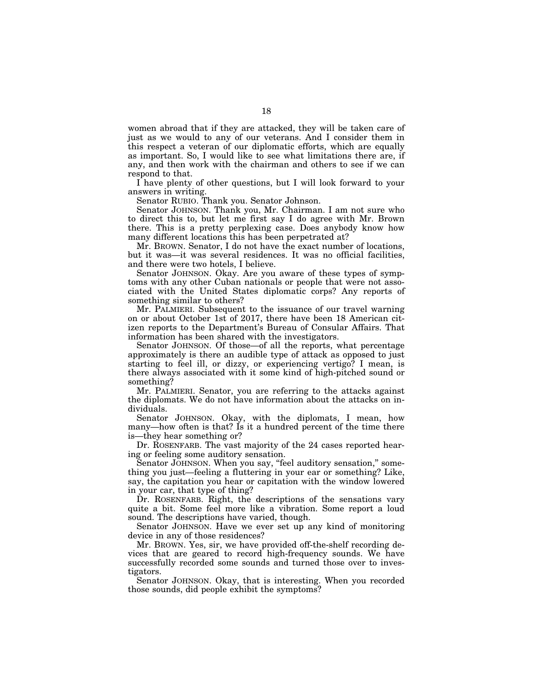women abroad that if they are attacked, they will be taken care of just as we would to any of our veterans. And I consider them in this respect a veteran of our diplomatic efforts, which are equally as important. So, I would like to see what limitations there are, if any, and then work with the chairman and others to see if we can respond to that.

I have plenty of other questions, but I will look forward to your answers in writing.

Senator RUBIO. Thank you. Senator Johnson.

Senator JOHNSON. Thank you, Mr. Chairman. I am not sure who to direct this to, but let me first say I do agree with Mr. Brown there. This is a pretty perplexing case. Does anybody know how many different locations this has been perpetrated at?

Mr. BROWN. Senator, I do not have the exact number of locations, but it was—it was several residences. It was no official facilities, and there were two hotels, I believe.

Senator JOHNSON. Okay. Are you aware of these types of symptoms with any other Cuban nationals or people that were not associated with the United States diplomatic corps? Any reports of something similar to others?

Mr. PALMIERI. Subsequent to the issuance of our travel warning on or about October 1st of 2017, there have been 18 American citizen reports to the Department's Bureau of Consular Affairs. That information has been shared with the investigators.

Senator JOHNSON. Of those—of all the reports, what percentage approximately is there an audible type of attack as opposed to just starting to feel ill, or dizzy, or experiencing vertigo? I mean, is there always associated with it some kind of high-pitched sound or something?

Mr. PALMIERI. Senator, you are referring to the attacks against the diplomats. We do not have information about the attacks on individuals.

Senator JOHNSON. Okay, with the diplomats, I mean, how many—how often is that? Is it a hundred percent of the time there is—they hear something or?

Dr. ROSENFARB. The vast majority of the 24 cases reported hearing or feeling some auditory sensation.

Senator JOHNSON. When you say, "feel auditory sensation," something you just—feeling a fluttering in your ear or something? Like, say, the capitation you hear or capitation with the window lowered in your car, that type of thing?

Dr. ROSENFARB. Right, the descriptions of the sensations vary quite a bit. Some feel more like a vibration. Some report a loud sound. The descriptions have varied, though.

Senator JOHNSON. Have we ever set up any kind of monitoring device in any of those residences?

Mr. BROWN. Yes, sir, we have provided off-the-shelf recording devices that are geared to record high-frequency sounds. We have successfully recorded some sounds and turned those over to investigators.

Senator JOHNSON. Okay, that is interesting. When you recorded those sounds, did people exhibit the symptoms?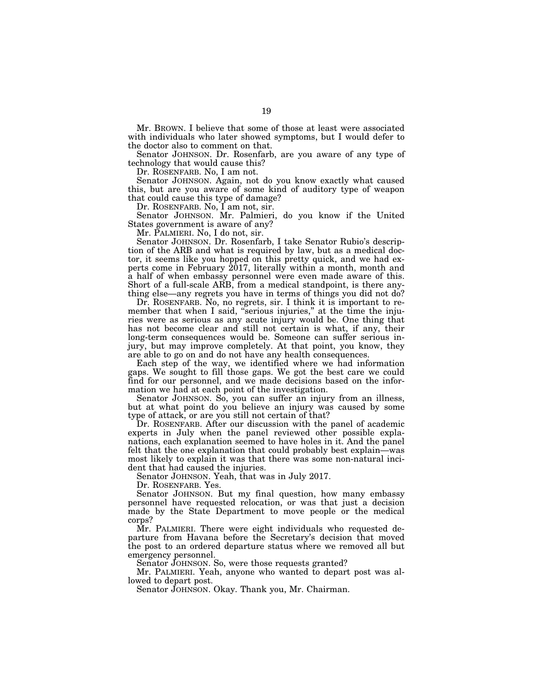Mr. BROWN. I believe that some of those at least were associated with individuals who later showed symptoms, but I would defer to the doctor also to comment on that.

Senator JOHNSON. Dr. Rosenfarb, are you aware of any type of technology that would cause this?

Dr. ROSENFARB. No, I am not.

Senator JOHNSON. Again, not do you know exactly what caused this, but are you aware of some kind of auditory type of weapon that could cause this type of damage?

Dr. ROSENFARB. No, I am not, sir.

Senator JOHNSON. Mr. Palmieri, do you know if the United States government is aware of any?

Mr. PALMIERI. No, I do not, sir.

Senator JOHNSON. Dr. Rosenfarb, I take Senator Rubio's description of the ARB and what is required by law, but as a medical doctor, it seems like you hopped on this pretty quick, and we had experts come in February 2017, literally within a month, month and a half of when embassy personnel were even made aware of this. Short of a full-scale ARB, from a medical standpoint, is there anything else—any regrets you have in terms of things you did not do?

Dr. ROSENFARB. No, no regrets, sir. I think it is important to remember that when I said, "serious injuries," at the time the injuries were as serious as any acute injury would be. One thing that has not become clear and still not certain is what, if any, their long-term consequences would be. Someone can suffer serious injury, but may improve completely. At that point, you know, they are able to go on and do not have any health consequences.

Each step of the way, we identified where we had information gaps. We sought to fill those gaps. We got the best care we could find for our personnel, and we made decisions based on the information we had at each point of the investigation.

Senator JOHNSON. So, you can suffer an injury from an illness, but at what point do you believe an injury was caused by some type of attack, or are you still not certain of that?

Dr. ROSENFARB. After our discussion with the panel of academic experts in July when the panel reviewed other possible explanations, each explanation seemed to have holes in it. And the panel felt that the one explanation that could probably best explain—was most likely to explain it was that there was some non-natural incident that had caused the injuries.

Senator JOHNSON. Yeah, that was in July 2017.

Dr. ROSENFARB. Yes.

Senator JOHNSON. But my final question, how many embassy personnel have requested relocation, or was that just a decision made by the State Department to move people or the medical corps?

Mr. PALMIERI. There were eight individuals who requested departure from Havana before the Secretary's decision that moved the post to an ordered departure status where we removed all but emergency personnel.

Senator JOHNSON. So, were those requests granted?

Mr. PALMIERI. Yeah, anyone who wanted to depart post was allowed to depart post.

Senator JOHNSON. Okay. Thank you, Mr. Chairman.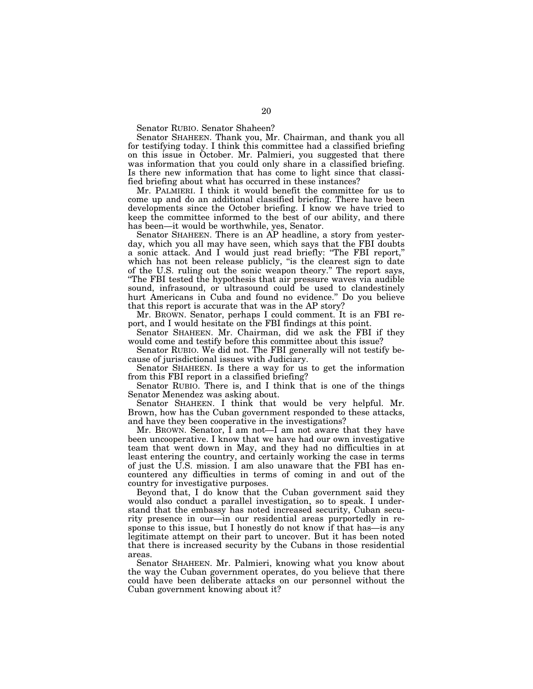Senator RUBIO. Senator Shaheen?

Senator SHAHEEN. Thank you, Mr. Chairman, and thank you all for testifying today. I think this committee had a classified briefing on this issue in October. Mr. Palmieri, you suggested that there was information that you could only share in a classified briefing. Is there new information that has come to light since that classified briefing about what has occurred in these instances?

Mr. PALMIERI. I think it would benefit the committee for us to come up and do an additional classified briefing. There have been developments since the October briefing. I know we have tried to keep the committee informed to the best of our ability, and there has been—it would be worthwhile, yes, Senator.

Senator SHAHEEN. There is an AP headline, a story from yesterday, which you all may have seen, which says that the FBI doubts a sonic attack. And I would just read briefly: ''The FBI report,'' which has not been release publicly, "is the clearest sign to date of the U.S. ruling out the sonic weapon theory.'' The report says, ''The FBI tested the hypothesis that air pressure waves via audible sound, infrasound, or ultrasound could be used to clandestinely hurt Americans in Cuba and found no evidence.'' Do you believe that this report is accurate that was in the AP story?

Mr. BROWN. Senator, perhaps I could comment. It is an FBI report, and I would hesitate on the FBI findings at this point.

Senator SHAHEEN. Mr. Chairman, did we ask the FBI if they would come and testify before this committee about this issue?

Senator RUBIO. We did not. The FBI generally will not testify because of jurisdictional issues with Judiciary.

Senator SHAHEEN. Is there a way for us to get the information from this FBI report in a classified briefing?

Senator RUBIO. There is, and I think that is one of the things Senator Menendez was asking about.

Senator SHAHEEN. I think that would be very helpful. Mr. Brown, how has the Cuban government responded to these attacks, and have they been cooperative in the investigations?

Mr. BROWN. Senator, I am not—I am not aware that they have been uncooperative. I know that we have had our own investigative team that went down in May, and they had no difficulties in at least entering the country, and certainly working the case in terms of just the U.S. mission. I am also unaware that the FBI has encountered any difficulties in terms of coming in and out of the country for investigative purposes.

Beyond that, I do know that the Cuban government said they would also conduct a parallel investigation, so to speak. I understand that the embassy has noted increased security, Cuban security presence in our—in our residential areas purportedly in response to this issue, but I honestly do not know if that has—is any legitimate attempt on their part to uncover. But it has been noted that there is increased security by the Cubans in those residential areas.

Senator SHAHEEN. Mr. Palmieri, knowing what you know about the way the Cuban government operates, do you believe that there could have been deliberate attacks on our personnel without the Cuban government knowing about it?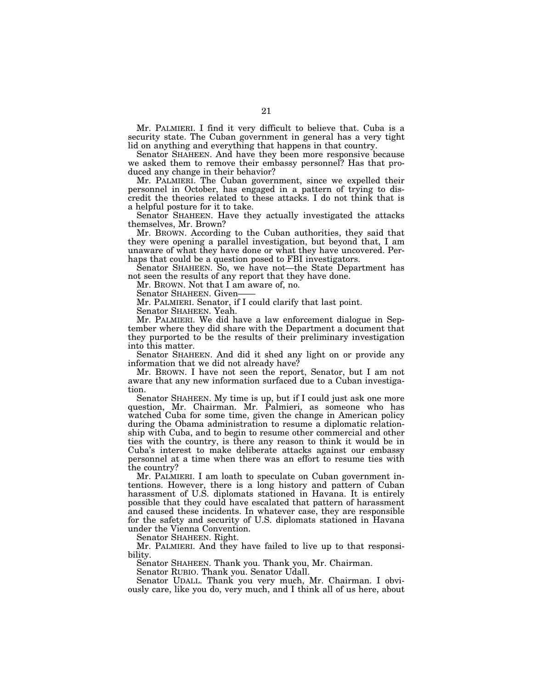Mr. PALMIERI. I find it very difficult to believe that. Cuba is a security state. The Cuban government in general has a very tight lid on anything and everything that happens in that country.

Senator SHAHEEN. And have they been more responsive because we asked them to remove their embassy personnel? Has that produced any change in their behavior?

Mr. PALMIERI. The Cuban government, since we expelled their personnel in October, has engaged in a pattern of trying to discredit the theories related to these attacks. I do not think that is a helpful posture for it to take.

Senator SHAHEEN. Have they actually investigated the attacks themselves, Mr. Brown?

Mr. BROWN. According to the Cuban authorities, they said that they were opening a parallel investigation, but beyond that, I am unaware of what they have done or what they have uncovered. Perhaps that could be a question posed to FBI investigators.

Senator SHAHEEN. So, we have not—the State Department has not seen the results of any report that they have done.

Mr. BROWN. Not that I am aware of, no.

Senator SHAHEEN. Given-

Mr. PALMIERI. Senator, if I could clarify that last point.

Senator SHAHEEN. Yeah.

Mr. PALMIERI. We did have a law enforcement dialogue in September where they did share with the Department a document that they purported to be the results of their preliminary investigation into this matter.

Senator SHAHEEN. And did it shed any light on or provide any information that we did not already have?

Mr. BROWN. I have not seen the report, Senator, but I am not aware that any new information surfaced due to a Cuban investigation.

Senator SHAHEEN. My time is up, but if I could just ask one more question, Mr. Chairman. Mr. Palmieri, as someone who has watched Cuba for some time, given the change in American policy during the Obama administration to resume a diplomatic relationship with Cuba, and to begin to resume other commercial and other ties with the country, is there any reason to think it would be in Cuba's interest to make deliberate attacks against our embassy personnel at a time when there was an effort to resume ties with the country?

Mr. PALMIERI. I am loath to speculate on Cuban government intentions. However, there is a long history and pattern of Cuban harassment of U.S. diplomats stationed in Havana. It is entirely possible that they could have escalated that pattern of harassment and caused these incidents. In whatever case, they are responsible for the safety and security of U.S. diplomats stationed in Havana under the Vienna Convention.

Senator SHAHEEN. Right.

Mr. PALMIERI. And they have failed to live up to that responsibility.

Senator SHAHEEN. Thank you. Thank you, Mr. Chairman.

Senator RUBIO. Thank you. Senator Udall.

Senator UDALL. Thank you very much, Mr. Chairman. I obviously care, like you do, very much, and I think all of us here, about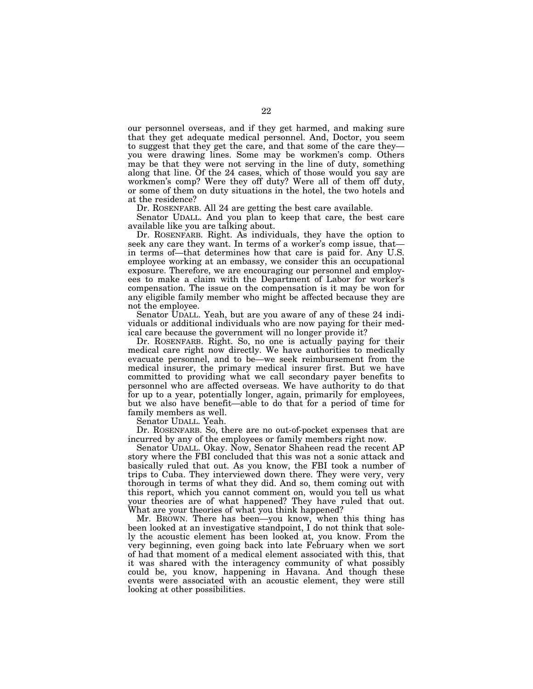our personnel overseas, and if they get harmed, and making sure that they get adequate medical personnel. And, Doctor, you seem to suggest that they get the care, and that some of the care they you were drawing lines. Some may be workmen's comp. Others may be that they were not serving in the line of duty, something along that line. Of the 24 cases, which of those would you say are workmen's comp? Were they off duty? Were all of them off duty, or some of them on duty situations in the hotel, the two hotels and at the residence?

Dr. ROSENFARB. All 24 are getting the best care available.

Senator UDALL. And you plan to keep that care, the best care available like you are talking about.

Dr. ROSENFARB. Right. As individuals, they have the option to seek any care they want. In terms of a worker's comp issue, that in terms of—that determines how that care is paid for. Any U.S. employee working at an embassy, we consider this an occupational exposure. Therefore, we are encouraging our personnel and employees to make a claim with the Department of Labor for worker's compensation. The issue on the compensation is it may be won for any eligible family member who might be affected because they are not the employee.

Senator UDALL. Yeah, but are you aware of any of these 24 individuals or additional individuals who are now paying for their medical care because the government will no longer provide it?

Dr. ROSENFARB. Right. So, no one is actually paying for their medical care right now directly. We have authorities to medically evacuate personnel, and to be—we seek reimbursement from the medical insurer, the primary medical insurer first. But we have committed to providing what we call secondary payer benefits to personnel who are affected overseas. We have authority to do that for up to a year, potentially longer, again, primarily for employees, but we also have benefit—able to do that for a period of time for family members as well.

Senator UDALL. Yeah.

Dr. ROSENFARB. So, there are no out-of-pocket expenses that are incurred by any of the employees or family members right now.

Senator UDALL. Okay. Now, Senator Shaheen read the recent AP story where the FBI concluded that this was not a sonic attack and basically ruled that out. As you know, the FBI took a number of trips to Cuba. They interviewed down there. They were very, very thorough in terms of what they did. And so, them coming out with this report, which you cannot comment on, would you tell us what your theories are of what happened? They have ruled that out. What are your theories of what you think happened?

Mr. BROWN. There has been—you know, when this thing has been looked at an investigative standpoint, I do not think that solely the acoustic element has been looked at, you know. From the very beginning, even going back into late February when we sort of had that moment of a medical element associated with this, that it was shared with the interagency community of what possibly could be, you know, happening in Havana. And though these events were associated with an acoustic element, they were still looking at other possibilities.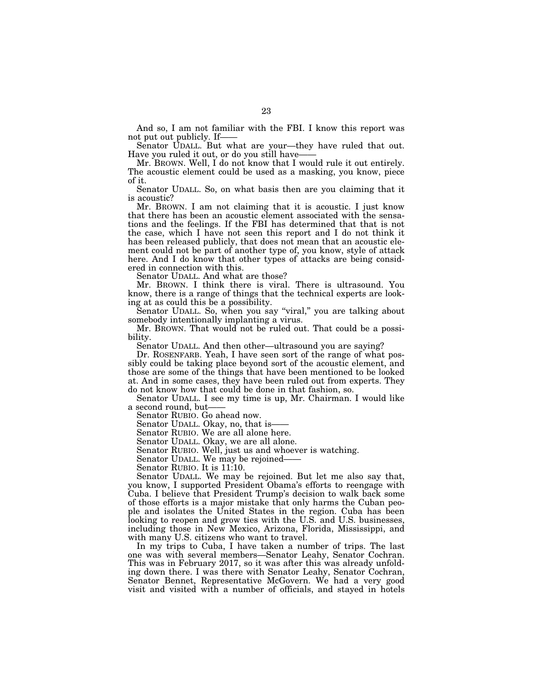And so, I am not familiar with the FBI. I know this report was not put out publicly. If-

Senator UDALL. But what are your—they have ruled that out. Have you ruled it out, or do you still have——

Mr. BROWN. Well, I do not know that I would rule it out entirely. The acoustic element could be used as a masking, you know, piece of it.

Senator UDALL. So, on what basis then are you claiming that it is acoustic?

Mr. BROWN. I am not claiming that it is acoustic. I just know that there has been an acoustic element associated with the sensations and the feelings. If the FBI has determined that that is not the case, which I have not seen this report and I do not think it has been released publicly, that does not mean that an acoustic element could not be part of another type of, you know, style of attack here. And I do know that other types of attacks are being considered in connection with this.

Senator UDALL. And what are those?

Mr. BROWN. I think there is viral. There is ultrasound. You know, there is a range of things that the technical experts are looking at as could this be a possibility.

Senator UDALL. So, when you say "viral," you are talking about somebody intentionally implanting a virus.

Mr. BROWN. That would not be ruled out. That could be a possibility.

Senator UDALL. And then other—ultrasound you are saying?

Dr. ROSENFARB. Yeah, I have seen sort of the range of what possibly could be taking place beyond sort of the acoustic element, and those are some of the things that have been mentioned to be looked at. And in some cases, they have been ruled out from experts. They do not know how that could be done in that fashion, so.

Senator UDALL. I see my time is up, Mr. Chairman. I would like a second round, but-

Senator RUBIO. Go ahead now.

Senator UDALL. Okay, no, that is-

Senator RUBIO. We are all alone here.

Senator UDALL. Okay, we are all alone.

Senator RUBIO. Well, just us and whoever is watching.

Senator UDALL. We may be rejoined——

Senator RUBIO. It is 11:10.

Senator UDALL. We may be rejoined. But let me also say that, you know, I supported President Obama's efforts to reengage with Cuba. I believe that President Trump's decision to walk back some of those efforts is a major mistake that only harms the Cuban people and isolates the United States in the region. Cuba has been looking to reopen and grow ties with the U.S. and U.S. businesses, including those in New Mexico, Arizona, Florida, Mississippi, and with many U.S. citizens who want to travel.

In my trips to Cuba, I have taken a number of trips. The last one was with several members—Senator Leahy, Senator Cochran. This was in February 2017, so it was after this was already unfolding down there. I was there with Senator Leahy, Senator Cochran, Senator Bennet, Representative McGovern. We had a very good visit and visited with a number of officials, and stayed in hotels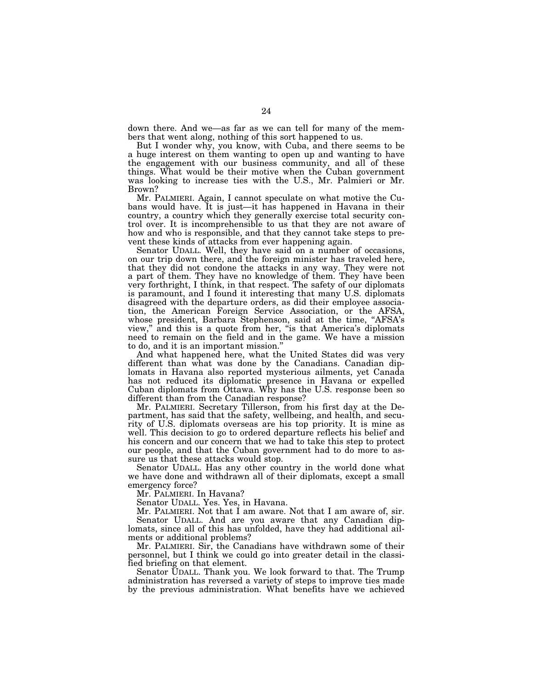down there. And we—as far as we can tell for many of the members that went along, nothing of this sort happened to us.

But I wonder why, you know, with Cuba, and there seems to be a huge interest on them wanting to open up and wanting to have the engagement with our business community, and all of these things. What would be their motive when the Cuban government was looking to increase ties with the U.S., Mr. Palmieri or Mr. Brown?

Mr. PALMIERI. Again, I cannot speculate on what motive the Cubans would have. It is just—it has happened in Havana in their country, a country which they generally exercise total security control over. It is incomprehensible to us that they are not aware of how and who is responsible, and that they cannot take steps to prevent these kinds of attacks from ever happening again.

Senator UDALL. Well, they have said on a number of occasions, on our trip down there, and the foreign minister has traveled here, that they did not condone the attacks in any way. They were not a part of them. They have no knowledge of them. They have been very forthright, I think, in that respect. The safety of our diplomats is paramount, and I found it interesting that many U.S. diplomats disagreed with the departure orders, as did their employee association, the American Foreign Service Association, or the AFSA, whose president, Barbara Stephenson, said at the time, "AFSA's view,'' and this is a quote from her, ''is that America's diplomats need to remain on the field and in the game. We have a mission to do, and it is an important mission.''

And what happened here, what the United States did was very different than what was done by the Canadians. Canadian diplomats in Havana also reported mysterious ailments, yet Canada has not reduced its diplomatic presence in Havana or expelled Cuban diplomats from Ottawa. Why has the U.S. response been so different than from the Canadian response?

Mr. PALMIERI. Secretary Tillerson, from his first day at the Department, has said that the safety, wellbeing, and health, and security of U.S. diplomats overseas are his top priority. It is mine as well. This decision to go to ordered departure reflects his belief and his concern and our concern that we had to take this step to protect our people, and that the Cuban government had to do more to assure us that these attacks would stop.

Senator UDALL. Has any other country in the world done what we have done and withdrawn all of their diplomats, except a small emergency force?

Mr. PALMIERI. In Havana?

Senator UDALL. Yes. Yes, in Havana.

Mr. PALMIERI. Not that I am aware. Not that I am aware of, sir. Senator UDALL. And are you aware that any Canadian diplomats, since all of this has unfolded, have they had additional ailments or additional problems?

Mr. PALMIERI. Sir, the Canadians have withdrawn some of their personnel, but I think we could go into greater detail in the classified briefing on that element.

Senator UDALL. Thank you. We look forward to that. The Trump administration has reversed a variety of steps to improve ties made by the previous administration. What benefits have we achieved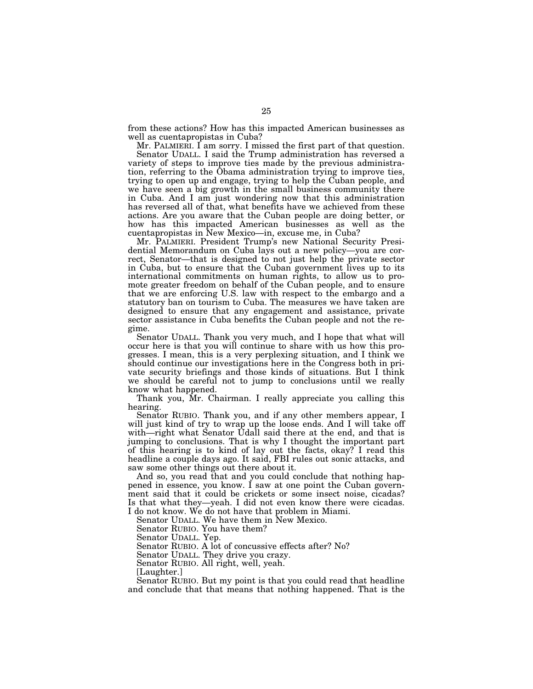from these actions? How has this impacted American businesses as well as cuentapropistas in Cuba?

Mr. PALMIERI. I am sorry. I missed the first part of that question.

Senator UDALL. I said the Trump administration has reversed a variety of steps to improve ties made by the previous administration, referring to the Obama administration trying to improve ties, trying to open up and engage, trying to help the Cuban people, and we have seen a big growth in the small business community there in Cuba. And I am just wondering now that this administration has reversed all of that, what benefits have we achieved from these actions. Are you aware that the Cuban people are doing better, or how has this impacted American businesses as well as the cuentapropistas in New Mexico—in, excuse me, in Cuba?

Mr. PALMIERI. President Trump's new National Security Presidential Memorandum on Cuba lays out a new policy—you are correct, Senator—that is designed to not just help the private sector in Cuba, but to ensure that the Cuban government lives up to its international commitments on human rights, to allow us to promote greater freedom on behalf of the Cuban people, and to ensure that we are enforcing U.S. law with respect to the embargo and a statutory ban on tourism to Cuba. The measures we have taken are designed to ensure that any engagement and assistance, private sector assistance in Cuba benefits the Cuban people and not the regime.

Senator UDALL. Thank you very much, and I hope that what will occur here is that you will continue to share with us how this progresses. I mean, this is a very perplexing situation, and I think we should continue our investigations here in the Congress both in private security briefings and those kinds of situations. But I think we should be careful not to jump to conclusions until we really know what happened.

Thank you, Mr. Chairman. I really appreciate you calling this hearing.

Senator RUBIO. Thank you, and if any other members appear, I will just kind of try to wrap up the loose ends. And I will take off with—right what Senator Udall said there at the end, and that is jumping to conclusions. That is why I thought the important part of this hearing is to kind of lay out the facts, okay? I read this headline a couple days ago. It said, FBI rules out sonic attacks, and saw some other things out there about it.

And so, you read that and you could conclude that nothing happened in essence, you know. I saw at one point the Cuban government said that it could be crickets or some insect noise, cicadas? Is that what they—yeah. I did not even know there were cicadas. I do not know. We do not have that problem in Miami.

Senator UDALL. We have them in New Mexico.

Senator RUBIO. You have them?

Senator UDALL. Yep.

Senator RUBIO. A lot of concussive effects after? No?

Senator UDALL. They drive you crazy.

Senator RUBIO. All right, well, yeah.

[Laughter.]

Senator RUBIO. But my point is that you could read that headline and conclude that that means that nothing happened. That is the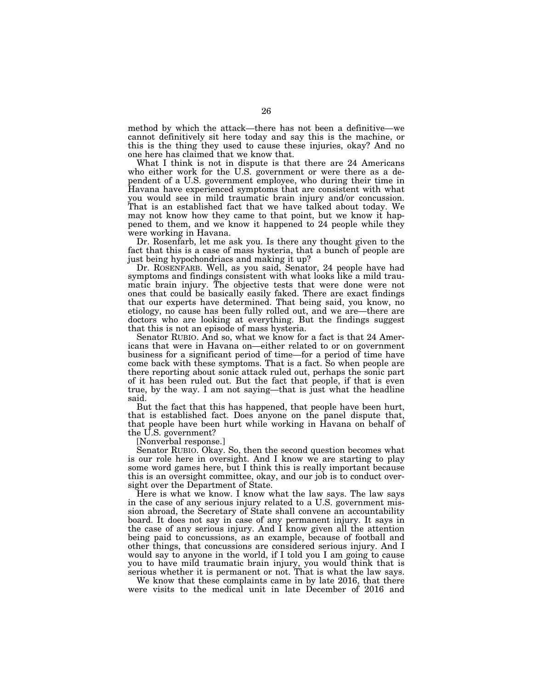method by which the attack—there has not been a definitive—we cannot definitively sit here today and say this is the machine, or this is the thing they used to cause these injuries, okay? And no one here has claimed that we know that.

What I think is not in dispute is that there are 24 Americans who either work for the U.S. government or were there as a dependent of a U.S. government employee, who during their time in Havana have experienced symptoms that are consistent with what you would see in mild traumatic brain injury and/or concussion. That is an established fact that we have talked about today. We may not know how they came to that point, but we know it happened to them, and we know it happened to 24 people while they were working in Havana.

Dr. Rosenfarb, let me ask you. Is there any thought given to the fact that this is a case of mass hysteria, that a bunch of people are just being hypochondriacs and making it up?

Dr. ROSENFARB. Well, as you said, Senator, 24 people have had symptoms and findings consistent with what looks like a mild traumatic brain injury. The objective tests that were done were not ones that could be basically easily faked. There are exact findings that our experts have determined. That being said, you know, no etiology, no cause has been fully rolled out, and we are—there are doctors who are looking at everything. But the findings suggest that this is not an episode of mass hysteria.

Senator RUBIO. And so, what we know for a fact is that 24 Americans that were in Havana on—either related to or on government business for a significant period of time—for a period of time have come back with these symptoms. That is a fact. So when people are there reporting about sonic attack ruled out, perhaps the sonic part of it has been ruled out. But the fact that people, if that is even true, by the way. I am not saying—that is just what the headline said.

But the fact that this has happened, that people have been hurt, that is established fact. Does anyone on the panel dispute that, that people have been hurt while working in Havana on behalf of the U.S. government?

[Nonverbal response.]

Senator RUBIO. Okay. So, then the second question becomes what is our role here in oversight. And I know we are starting to play some word games here, but I think this is really important because this is an oversight committee, okay, and our job is to conduct oversight over the Department of State.

Here is what we know. I know what the law says. The law says in the case of any serious injury related to a U.S. government mission abroad, the Secretary of State shall convene an accountability board. It does not say in case of any permanent injury. It says in the case of any serious injury. And I know given all the attention being paid to concussions, as an example, because of football and other things, that concussions are considered serious injury. And I would say to anyone in the world, if I told you I am going to cause you to have mild traumatic brain injury, you would think that is serious whether it is permanent or not. That is what the law says.

We know that these complaints came in by late 2016, that there were visits to the medical unit in late December of 2016 and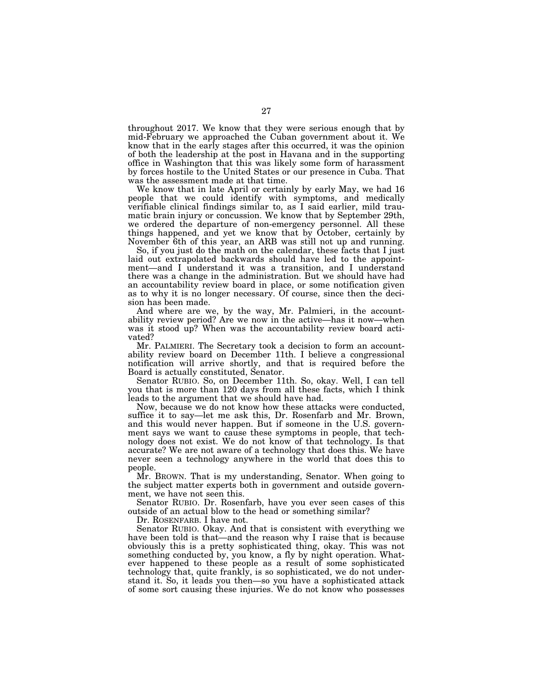throughout 2017. We know that they were serious enough that by mid-February we approached the Cuban government about it. We know that in the early stages after this occurred, it was the opinion of both the leadership at the post in Havana and in the supporting office in Washington that this was likely some form of harassment by forces hostile to the United States or our presence in Cuba. That was the assessment made at that time.

We know that in late April or certainly by early May, we had 16 people that we could identify with symptoms, and medically verifiable clinical findings similar to, as I said earlier, mild traumatic brain injury or concussion. We know that by September 29th, we ordered the departure of non-emergency personnel. All these things happened, and yet we know that by October, certainly by November 6th of this year, an ARB was still not up and running.

So, if you just do the math on the calendar, these facts that I just laid out extrapolated backwards should have led to the appointment—and I understand it was a transition, and I understand there was a change in the administration. But we should have had an accountability review board in place, or some notification given as to why it is no longer necessary. Of course, since then the decision has been made.

And where are we, by the way, Mr. Palmieri, in the accountability review period? Are we now in the active—has it now—when was it stood up? When was the accountability review board activated?

Mr. PALMIERI. The Secretary took a decision to form an accountability review board on December 11th. I believe a congressional notification will arrive shortly, and that is required before the Board is actually constituted, Senator.

Senator RUBIO. So, on December 11th. So, okay. Well, I can tell you that is more than 120 days from all these facts, which I think leads to the argument that we should have had.

Now, because we do not know how these attacks were conducted, suffice it to say—let me ask this, Dr. Rosenfarb and Mr. Brown, and this would never happen. But if someone in the U.S. government says we want to cause these symptoms in people, that technology does not exist. We do not know of that technology. Is that accurate? We are not aware of a technology that does this. We have never seen a technology anywhere in the world that does this to people.

Mr. BROWN. That is my understanding, Senator. When going to the subject matter experts both in government and outside government, we have not seen this.

Senator RUBIO. Dr. Rosenfarb, have you ever seen cases of this outside of an actual blow to the head or something similar?

Dr. ROSENFARB. I have not.

Senator RUBIO. Okay. And that is consistent with everything we have been told is that—and the reason why I raise that is because obviously this is a pretty sophisticated thing, okay. This was not something conducted by, you know, a fly by night operation. Whatever happened to these people as a result of some sophisticated technology that, quite frankly, is so sophisticated, we do not understand it. So, it leads you then—so you have a sophisticated attack of some sort causing these injuries. We do not know who possesses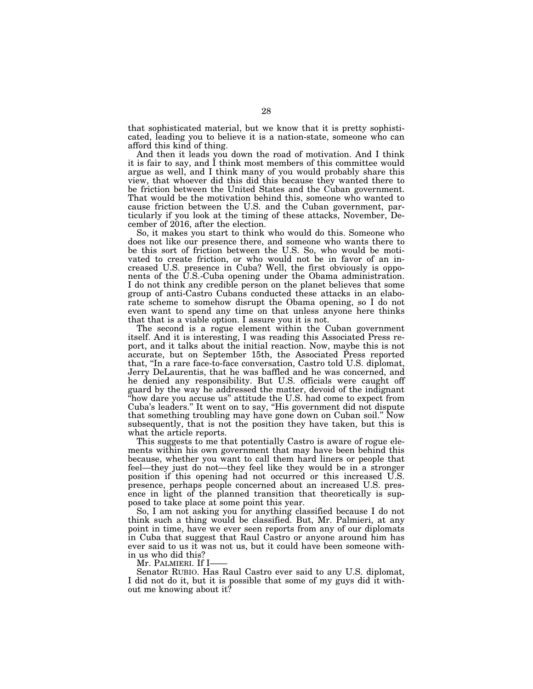that sophisticated material, but we know that it is pretty sophisticated, leading you to believe it is a nation-state, someone who can afford this kind of thing.

And then it leads you down the road of motivation. And I think it is fair to say, and I think most members of this committee would argue as well, and I think many of you would probably share this view, that whoever did this did this because they wanted there to be friction between the United States and the Cuban government. That would be the motivation behind this, someone who wanted to cause friction between the U.S. and the Cuban government, particularly if you look at the timing of these attacks, November, December of 2016, after the election.

So, it makes you start to think who would do this. Someone who does not like our presence there, and someone who wants there to be this sort of friction between the U.S. So, who would be motivated to create friction, or who would not be in favor of an increased U.S. presence in Cuba? Well, the first obviously is opponents of the U.S.-Cuba opening under the Obama administration. I do not think any credible person on the planet believes that some group of anti-Castro Cubans conducted these attacks in an elaborate scheme to somehow disrupt the Obama opening, so I do not even want to spend any time on that unless anyone here thinks that that is a viable option. I assure you it is not.

The second is a rogue element within the Cuban government itself. And it is interesting, I was reading this Associated Press report, and it talks about the initial reaction. Now, maybe this is not accurate, but on September 15th, the Associated Press reported that, ''In a rare face-to-face conversation, Castro told U.S. diplomat, Jerry DeLaurentis, that he was baffled and he was concerned, and he denied any responsibility. But U.S. officials were caught off guard by the way he addressed the matter, devoid of the indignant "how dare you accuse us" attitude the U.S. had come to expect from Cuba's leaders.'' It went on to say, ''His government did not dispute that something troubling may have gone down on Cuban soil.'' Now subsequently, that is not the position they have taken, but this is what the article reports.

This suggests to me that potentially Castro is aware of rogue elements within his own government that may have been behind this because, whether you want to call them hard liners or people that feel—they just do not—they feel like they would be in a stronger position if this opening had not occurred or this increased U.S. presence, perhaps people concerned about an increased U.S. presence in light of the planned transition that theoretically is supposed to take place at some point this year.

So, I am not asking you for anything classified because I do not think such a thing would be classified. But, Mr. Palmieri, at any point in time, have we ever seen reports from any of our diplomats in Cuba that suggest that Raul Castro or anyone around him has ever said to us it was not us, but it could have been someone within us who did this?

Mr. PALMIERI. If I-

Senator RUBIO. Has Raul Castro ever said to any U.S. diplomat, I did not do it, but it is possible that some of my guys did it without me knowing about it?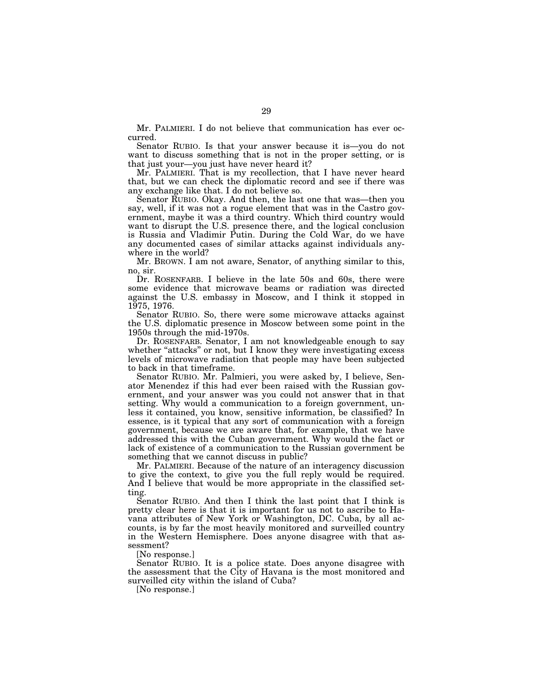Mr. PALMIERI. I do not believe that communication has ever occurred.

Senator RUBIO. Is that your answer because it is—you do not want to discuss something that is not in the proper setting, or is that just your—you just have never heard it?

Mr. PALMIERI. That is my recollection, that I have never heard that, but we can check the diplomatic record and see if there was any exchange like that. I do not believe so.

Senator RUBIO. Okay. And then, the last one that was—then you say, well, if it was not a rogue element that was in the Castro government, maybe it was a third country. Which third country would want to disrupt the U.S. presence there, and the logical conclusion is Russia and Vladimir Putin. During the Cold War, do we have any documented cases of similar attacks against individuals anywhere in the world?

Mr. BROWN. I am not aware, Senator, of anything similar to this, no, sir.

Dr. ROSENFARB. I believe in the late 50s and 60s, there were some evidence that microwave beams or radiation was directed against the U.S. embassy in Moscow, and I think it stopped in 1975, 1976.

Senator RUBIO. So, there were some microwave attacks against the U.S. diplomatic presence in Moscow between some point in the 1950s through the mid-1970s.

Dr. ROSENFARB. Senator, I am not knowledgeable enough to say whether "attacks" or not, but I know they were investigating excess levels of microwave radiation that people may have been subjected to back in that timeframe.

Senator RUBIO. Mr. Palmieri, you were asked by, I believe, Senator Menendez if this had ever been raised with the Russian government, and your answer was you could not answer that in that setting. Why would a communication to a foreign government, unless it contained, you know, sensitive information, be classified? In essence, is it typical that any sort of communication with a foreign government, because we are aware that, for example, that we have addressed this with the Cuban government. Why would the fact or lack of existence of a communication to the Russian government be something that we cannot discuss in public?

Mr. PALMIERI. Because of the nature of an interagency discussion to give the context, to give you the full reply would be required. And I believe that would be more appropriate in the classified setting.

Senator RUBIO. And then I think the last point that I think is pretty clear here is that it is important for us not to ascribe to Havana attributes of New York or Washington, DC. Cuba, by all accounts, is by far the most heavily monitored and surveilled country in the Western Hemisphere. Does anyone disagree with that assessment?

[No response.]

Senator RUBIO. It is a police state. Does anyone disagree with the assessment that the City of Havana is the most monitored and surveilled city within the island of Cuba?

[No response.]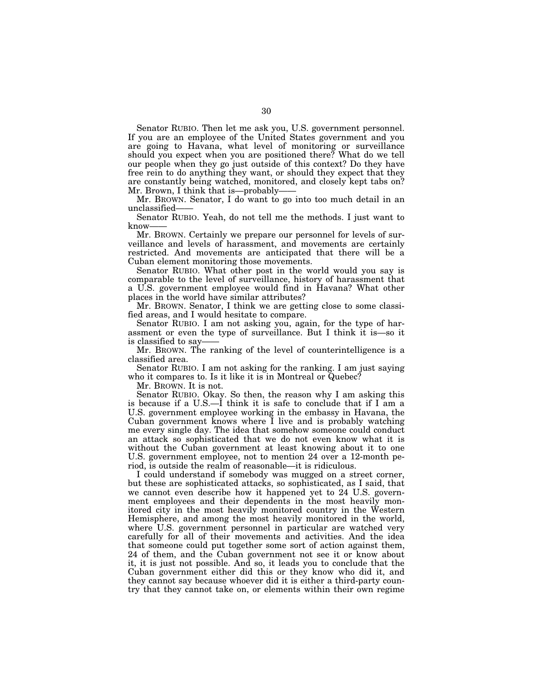Senator RUBIO. Then let me ask you, U.S. government personnel. If you are an employee of the United States government and you are going to Havana, what level of monitoring or surveillance should you expect when you are positioned there? What do we tell our people when they go just outside of this context? Do they have free rein to do anything they want, or should they expect that they are constantly being watched, monitored, and closely kept tabs on? Mr. Brown, I think that is—probably-

Mr. BROWN. Senator, I do want to go into too much detail in an unclassified——

Senator RUBIO. Yeah, do not tell me the methods. I just want to know-

Mr. BROWN. Certainly we prepare our personnel for levels of surveillance and levels of harassment, and movements are certainly restricted. And movements are anticipated that there will be a Cuban element monitoring those movements.

Senator RUBIO. What other post in the world would you say is comparable to the level of surveillance, history of harassment that a U.S. government employee would find in Havana? What other places in the world have similar attributes?

Mr. BROWN. Senator, I think we are getting close to some classified areas, and I would hesitate to compare.

Senator RUBIO. I am not asking you, again, for the type of harassment or even the type of surveillance. But I think it is—so it is classified to say——

Mr. BROWN. The ranking of the level of counterintelligence is a classified area.

Senator RUBIO. I am not asking for the ranking. I am just saying who it compares to. Is it like it is in Montreal or Quebec?

Mr. BROWN. It is not.

Senator RUBIO. Okay. So then, the reason why I am asking this is because if a U.S.—I think it is safe to conclude that if I am a U.S. government employee working in the embassy in Havana, the Cuban government knows where I live and is probably watching me every single day. The idea that somehow someone could conduct an attack so sophisticated that we do not even know what it is without the Cuban government at least knowing about it to one U.S. government employee, not to mention 24 over a 12-month period, is outside the realm of reasonable—it is ridiculous.

I could understand if somebody was mugged on a street corner, but these are sophisticated attacks, so sophisticated, as I said, that we cannot even describe how it happened yet to 24 U.S. government employees and their dependents in the most heavily monitored city in the most heavily monitored country in the Western Hemisphere, and among the most heavily monitored in the world, where U.S. government personnel in particular are watched very carefully for all of their movements and activities. And the idea that someone could put together some sort of action against them, 24 of them, and the Cuban government not see it or know about it, it is just not possible. And so, it leads you to conclude that the Cuban government either did this or they know who did it, and they cannot say because whoever did it is either a third-party country that they cannot take on, or elements within their own regime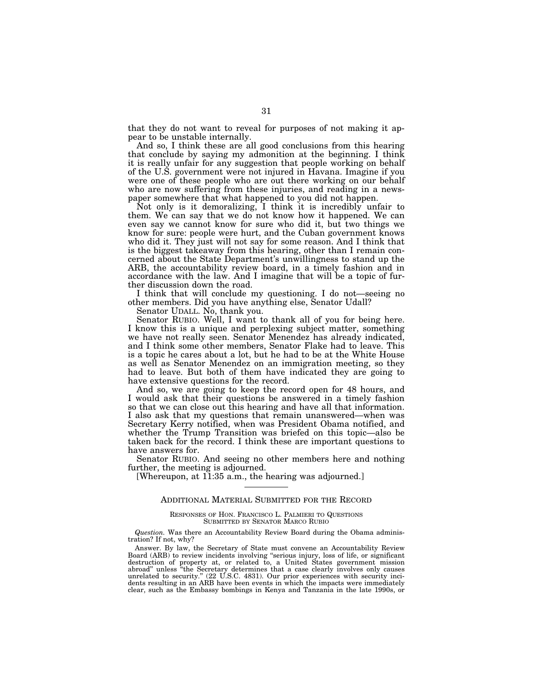that they do not want to reveal for purposes of not making it appear to be unstable internally.

And so, I think these are all good conclusions from this hearing that conclude by saying my admonition at the beginning. I think it is really unfair for any suggestion that people working on behalf of the U.S. government were not injured in Havana. Imagine if you were one of these people who are out there working on our behalf who are now suffering from these injuries, and reading in a newspaper somewhere that what happened to you did not happen.

Not only is it demoralizing, I think it is incredibly unfair to them. We can say that we do not know how it happened. We can even say we cannot know for sure who did it, but two things we know for sure: people were hurt, and the Cuban government knows who did it. They just will not say for some reason. And I think that is the biggest takeaway from this hearing, other than I remain concerned about the State Department's unwillingness to stand up the ARB, the accountability review board, in a timely fashion and in accordance with the law. And I imagine that will be a topic of further discussion down the road.

I think that will conclude my questioning. I do not—seeing no other members. Did you have anything else, Senator Udall?

Senator UDALL. No, thank you.

Senator RUBIO. Well, I want to thank all of you for being here. I know this is a unique and perplexing subject matter, something we have not really seen. Senator Menendez has already indicated, and I think some other members, Senator Flake had to leave. This is a topic he cares about a lot, but he had to be at the White House as well as Senator Menendez on an immigration meeting, so they had to leave. But both of them have indicated they are going to have extensive questions for the record.

And so, we are going to keep the record open for 48 hours, and I would ask that their questions be answered in a timely fashion so that we can close out this hearing and have all that information. I also ask that my questions that remain unanswered—when was Secretary Kerry notified, when was President Obama notified, and whether the Trump Transition was briefed on this topic—also be taken back for the record. I think these are important questions to have answers for.

Senator RUBIO. And seeing no other members here and nothing further, the meeting is adjourned.

[Whereupon, at 11:35 a.m., the hearing was adjourned.]

#### ADDITIONAL MATERIAL SUBMITTED FOR THE RECORD

#### RESPONSES OF HON. FRANCISCO L. PALMIERI TO QUESTIONS SUBMITTED BY SENATOR MARCO RUBIO

*Question.* Was there an Accountability Review Board during the Obama administration? If not, why?

Answer. By law, the Secretary of State must convene an Accountability Review Board (ARB) to review incidents involving ''serious injury, loss of life, or significant destruction of property at, or related to, a United States government mission abroad'' unless ''the Secretary determines that a case clearly involves only causes unrelated to security." (22 U.S.C. 4831). Our prior experiences with security incidents resulting in an ARB have been events in which the impacts were immediately clear, such as the Embassy bombings in Kenya and Tanzania in the late 1990s, or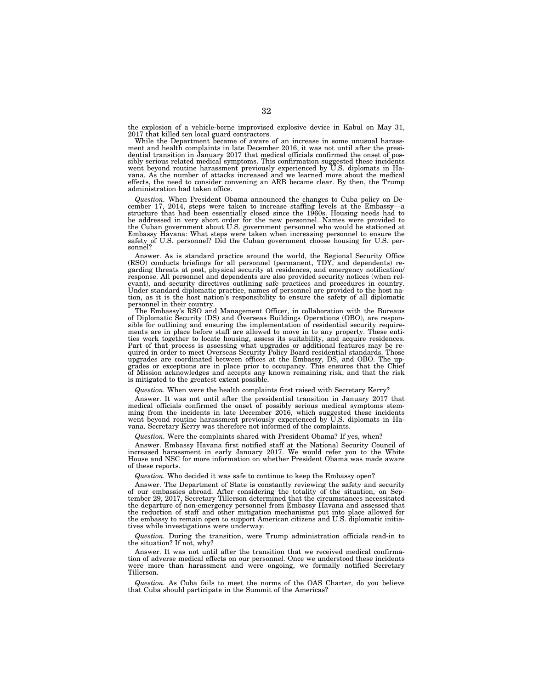the explosion of a vehicle-borne improvised explosive device in Kabul on May 31, 2017 that killed ten local guard contractors. While the Department became of aware of an increase in some unusual harass-

ment and health complaints in late December 2016, it was not until after the presi-dential transition in January 2017 that medical officials confirmed the onset of possibly serious related medical symptoms. This confirmation suggested these incidents went beyond routine harassment previously experienced by U.S. diplomats in Havana. As the number of attacks increased and we learned more about the medical effects, the need to consider convening an ARB became clear. By then, the Trump administration had taken office.

*Question.* When President Obama announced the changes to Cuba policy on December 17, 2014, steps were taken to increase staffing levels at the Embassy—a structure that had been essentially closed since the 1960s. Housing needs had to be addressed in very short order for the new personnel. Names were provided to the Cuban government about U.S. government personnel who would be stationed at Embassy Havana: What steps were taken when increasing personnel to ensure the safety of U.S. personnel? Did the Cuban government choose housing for U.S. personnel?

Answer. As is standard practice around the world, the Regional Security Office (RSO) conducts briefings for all personnel (permanent, TDY, and dependents) regarding threats at post, physical security at residences, and emergency notification/ response. All personnel and dependents are also provided security notices (when relevant), and security directives outlining safe practices and procedures in country. Under standard diplomatic practice, names of personnel are provided to the host na-tion, as it is the host nation's responsibility to ensure the safety of all diplomatic

personnel in their country. The Embassy's RSO and Management Officer, in collaboration with the Bureaus of Diplomatic Security (DS) and Overseas Buildings Operations (OBO), are respon-sible for outlining and ensuring the implementation of residential security requirements are in place before staff are allowed to move in to any property. These entities work together to locate housing, assess its suitability, and acquire residences. Part of that process is assessing what upgrades or additional features may be re-quired in order to meet Overseas Security Policy Board residential standards. Those upgrades are coordinated between offices at the Embassy, DS, and OBO. The upgrades or exceptions are in place prior to occupancy. This ensures that the Chief of Mission acknowledges and accepts any known remaining risk, and that the risk is mitigated to the greatest extent possible.

*Question.* When were the health complaints first raised with Secretary Kerry?

Answer. It was not until after the presidential transition in January 2017 that medical officials confirmed the onset of possibly serious medical symptoms stemming from the incidents in late December 2016, which suggested these incidents went beyond routine harassment previously experienced by U.S. diplomats in Havana. Secretary Kerry was therefore not informed of the complaints.

*Question.* Were the complaints shared with President Obama? If yes, when?

Answer. Embassy Havana first notified staff at the National Security Council of increased harassment in early January 2017. We would refer you to the White House and NSC for more information on whether President Obama was made aware of these reports.

*Question.* Who decided it was safe to continue to keep the Embassy open?

Answer. The Department of State is constantly reviewing the safety and security of our embassies abroad. After considering the totality of the situation, on September 29, 2017, Secretary Tillerson determined that the circumstances necessitated the departure of non-emergency personnel from Embassy Havana and assessed that the reduction of staff and other mitigation mechanisms put into place allowed for the embassy to remain open to support American citizens and U.S. diplomatic initiatives while investigations were underway.

*Question.* During the transition, were Trump administration officials read-in to the situation? If not, why?

Answer. It was not until after the transition that we received medical confirmation of adverse medical effects on our personnel. Once we understood these incidents were more than harassment and were ongoing, we formally notified Secretary Tillerson.

*Question.* As Cuba fails to meet the norms of the OAS Charter, do you believe that Cuba should participate in the Summit of the Americas?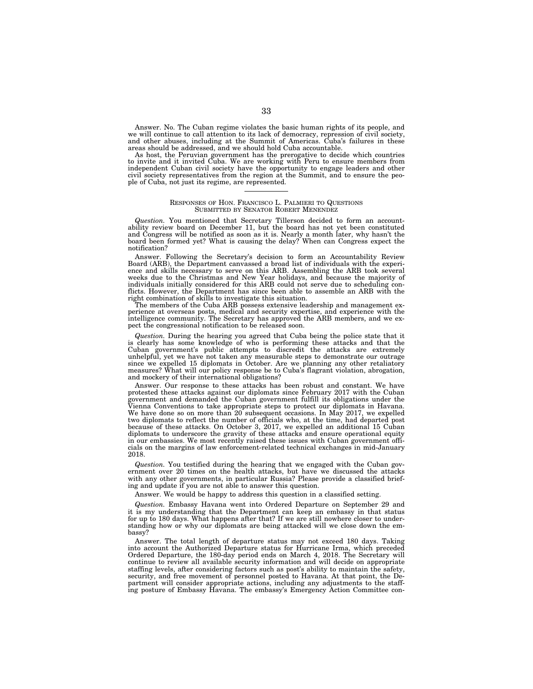Answer. No. The Cuban regime violates the basic human rights of its people, and we will continue to call attention to its lack of democracy, repression of civil society, and other abuses, including at the Summit of Americas. Cuba's failures in these areas should be addressed, and we should hold Cuba accountable.

As host, the Peruvian government has the prerogative to decide which countries to invite and it invited Cuba. We are working with Peru to ensure members from independent Cuban civil society have the opportunity to engage leaders and other civil society representatives from the region at the Summit, and to ensure the people of Cuba, not just its regime, are represented.

#### RESPONSES OF HON. FRANCISCO L. PALMIERI TO QUESTIONS SUBMITTED BY SENATOR ROBERT MENENDEZ

*Question.* You mentioned that Secretary Tillerson decided to form an accountability review board on December 11, but the board has not yet been constituted and Congress will be notified as soon as it is. Nearly a month later, why hasn't the board been formed yet? What is causing the delay? When can Congress expect the notification?

Answer. Following the Secretary's decision to form an Accountability Review Board (ARB), the Department canvassed a broad list of individuals with the experience and skills necessary to serve on this ARB. Assembling the ARB took several weeks due to the Christmas and New Year holidays, and because the majority of individuals initially considered for this ARB could not serve due to scheduling conflicts. However, the Department has since been able to assemble an ARB with the right combination of skills to investigate this situation.

The members of the Cuba ARB possess extensive leadership and management experience at overseas posts, medical and security expertise, and experience with the intelligence community. The Secretary has approved the ARB members, and we expect the congressional notification to be released soon.

*Question.* During the hearing you agreed that Cuba being the police state that it is clearly has some knowledge of who is performing these attacks and that the<br>Cuban government's public attempts to discredit the attacks are extremely<br>unhelpful, yet we have not taken any measurable steps to demonstrate o since we expelled 15 diplomats in October. Are we planning any other retaliatory measures? What will our policy response be to Cuba's flagrant violation, abrogation, and mockery of their international obligations?

Answer. Our response to these attacks has been robust and constant. We have protested these attacks against our diplomats since February 2017 with the Cuban government and demanded the Cuban government fulfill its obligations under the Vienna Conventions to take appropriate steps to protect our diplomats in Havana. We have done so on more than  $20$  subsequent occasions. In May 2017, we expelled two diplomats to reflect the number of officials who, at the time, had departed post because of these attacks. On October 3, 2017, we expelled an additional 15 Cuban diplomats to underscore the gravity of these attacks and ensure operational equity in our embassies. We most recently raised these issues with Cuban government officials on the margins of law enforcement-related technical exchanges in mid-January 2018.

*Question.* You testified during the hearing that we engaged with the Cuban gov-ernment over 20 times on the health attacks, but have we discussed the attacks with any other governments, in particular Russia? Please provide a classified briefing and update if you are not able to answer this question.

Answer. We would be happy to address this question in a classified setting.

*Question.* Embassy Havana went into Ordered Departure on September 29 and it is my understanding that the Department can keep an embassy in that status for up to 180 days. What happens after that? If we are still nowhere closer to understanding how or why our diplomats are being attacked will we close down the embassy?

Answer. The total length of departure status may not exceed 180 days. Taking into account the Authorized Departure status for Hurricane Irma, which preceded Ordered Departure, the 180-day period ends on March 4, 2018. The Secretary will continue to review all available security information and will decide on appropriate staffing levels, after considering factors such as post's ability to maintain the safety, security, and free movement of personnel posted to Havana. At that point, the Department will consider appropriate actions, including any adjustments to the staffing posture of Embassy Havana. The embassy's Emergency Action Committee con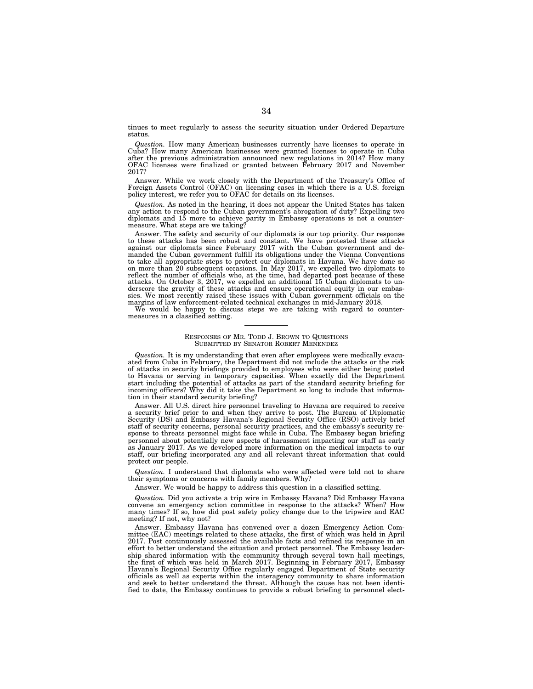tinues to meet regularly to assess the security situation under Ordered Departure status.

*Question.* How many American businesses currently have licenses to operate in Cuba? How many American businesses were granted licenses to operate in Cuba after the previous administration announced new regulations in 2014? How many OFAC licenses were finalized or granted between February 2017 and November 2017?

Answer. While we work closely with the Department of the Treasury's Office of Foreign Assets Control (OFAC) on licensing cases in which there is a U.S. foreign policy interest, we refer you to OFAC for details on its licenses.

*Question.* As noted in the hearing, it does not appear the United States has taken any action to respond to the Cuban government's abrogation of duty? Expelling two diplomats and 15 more to achieve parity in Embassy operations is not a countermeasure. What steps are we taking?

Answer. The safety and security of our diplomats is our top priority. Our response to these attacks has been robust and constant. We have protested these attacks against our diplomats since February 2017 with the Cuban government and demanded the Cuban government fulfill its obligations under the Vienna Conventions to take all appropriate steps to protect our diplomats in Havana. We have done so on more than 20 subsequent occasions. In May 2017, we expelled two diplomats to reflect the number of officials who, at the time, had departed post because of these attacks. On October 3, 2017, we expelled an additional 15 Cuban diplomats to un-derscore the gravity of these attacks and ensure operational equity in our embassies. We most recently raised these issues with Cuban government officials on the margins of law enforcement-related technical exchanges in mid-January 2018.

We would be happy to discuss steps we are taking with regard to countermeasures in a classified setting.

#### RESPONSES OF MR. TODD J. BROWN TO QUESTIONS SUBMITTED BY SENATOR ROBERT MENENDEZ

*Question.* It is my understanding that even after employees were medically evacuated from Cuba in February, the Department did not include the attacks or the risk of attacks in security briefings provided to employees who were either being posted to Havana or serving in temporary capacities. When exactly did the Department start including the potential of attacks as part of the standard security briefing for incoming officers? Why did it take the Department so long to include that information in their standard security briefing?

Answer. All U.S. direct hire personnel traveling to Havana are required to receive a security brief prior to and when they arrive to post. The Bureau of Diplomatic Security (DS) and Embassy Havana's Regional Security Office (RSO) actively brief staff of security concerns, personal security practices, and the embassy's security response to threats personnel might face while in Cuba. The Embassy began briefing personnel about potentially new aspects of harassment impacting our staff as early as January 2017. As we developed more information on the medical impacts to our staff, our briefing incorporated any and all relevant threat information that could protect our people.

*Question.* I understand that diplomats who were affected were told not to share their symptoms or concerns with family members. Why?

Answer. We would be happy to address this question in a classified setting.

*Question.* Did you activate a trip wire in Embassy Havana? Did Embassy Havana convene an emergency action committee in response to the attacks? When? How many times? If so, how did post safety policy change due to the tripwire and EAC meeting? If not, why not?

Answer. Embassy Havana has convened over a dozen Emergency Action Committee (EAC) meetings related to these attacks, the first of which was held in April 2017. Post continuously assessed the available facts and refined its response in an effort to better understand the situation and protect personnel. The Embassy leadership shared information with the community through several town hall meetings, the first of which was held in March 2017. Beginning in February 2017, Embassy Havana's Regional Security Office regularly engaged Department of State security officials as well as experts within the interagency community to share information and seek to better understand the threat. Although the cause has not been identified to date, the Embassy continues to provide a robust briefing to personnel elect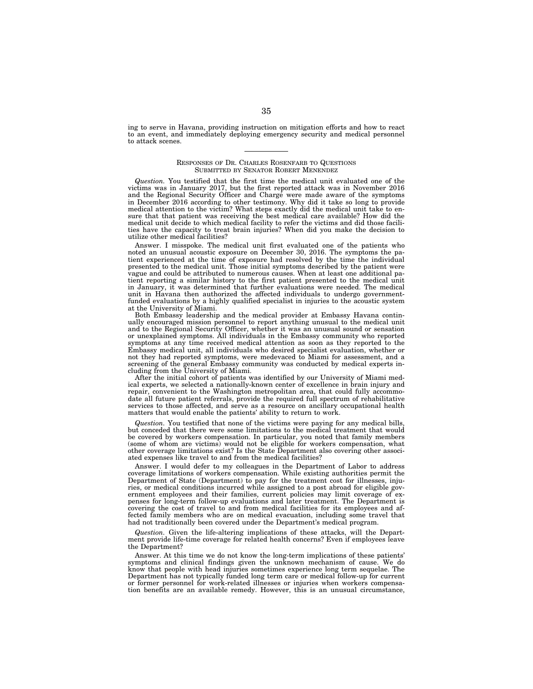ing to serve in Havana, providing instruction on mitigation efforts and how to react to an event, and immediately deploying emergency security and medical personnel to attack scenes.

#### RESPONSES OF DR. CHARLES ROSENFARB TO QUESTIONS SUBMITTED BY SENATOR ROBERT MENENDEZ

*Question.* You testified that the first time the medical unit evaluated one of the victims was in January 2017, but the first reported attack was in November 2016 and the Regional Security Officer and Charge´ were made aware of the symptoms in December 2016 according to other testimony. Why did it take so long to provide medical attention to the victim? What steps exactly did the medical unit take to ensure that that patient was receiving the best medical care available? How did the medical unit decide to which medical facility to refer the victims and did those facilities have the capacity to treat brain injuries? When did you make the decision to utilize other medical facilities?

Answer. I misspoke. The medical unit first evaluated one of the patients who noted an unusual acoustic exposure on December 30, 2016. The symptoms the patient experienced at the time of exposure had resolved by the time the individual presented to the medical unit. Those initial symptoms described by the patient were vague and could be attributed to numerous causes. When at least one additional patient reporting a similar history to the first patient presented to the medical unit in January, it was determined that further evaluations were needed. The medical unit in Havana then authorized the affected individuals to undergo governmentfunded evaluations by a highly qualified specialist in injuries to the acoustic system at the University of Miami.

Both Embassy leadership and the medical provider at Embassy Havana continually encouraged mission personnel to report anything unusual to the medical unit and to the Regional Security Officer, whether it was an unusual sound or sensation or unexplained symptoms. All individuals in the Embassy community who reported symptoms at any time received medical attention as soon as they reported to the Embassy medical unit, all individuals who desired specialist evaluation, whether or not they had reported symptoms, were medevaced to Miami for assessment, and a screening of the general Embassy community was conducted by medical experts including from the University of Miami.

After the initial cohort of patients was identified by our University of Miami medical experts, we selected a nationally-known center of excellence in brain injury and repair, convenient to the Washington metropolitan area, that could fully accommodate all future patient referrals, provide the required full spectrum of rehabilitative services to those affected, and serve as a resource on ancillary occupational health matters that would enable the patients' ability to return to work.

*Question.* You testified that none of the victims were paying for any medical bills, but conceded that there were some limitations to the medical treatment that would be covered by workers compensation. In particular, you noted that family members (some of whom are victims) would not be eligible for workers compensation, what other coverage limitations exist? Is the State Department also covering other associated expenses like travel to and from the medical facilities?

Answer. I would defer to my colleagues in the Department of Labor to address coverage limitations of workers compensation. While existing authorities permit the Department of State (Department) to pay for the treatment cost for illnesses, injuries, or medical conditions incurred while assigned to a post abroad for eligible government employees and their families, current policies may limit coverage of expenses for long-term follow-up evaluations and later treatment. The Department is covering the cost of travel to and from medical facilities for its employees and affected family members who are on medical evacuation, including some travel that had not traditionally been covered under the Department's medical program.

*Question.* Given the life-altering implications of these attacks, will the Department provide life-time coverage for related health concerns? Even if employees leave the Department?

Answer. At this time we do not know the long-term implications of these patients' symptoms and clinical findings given the unknown mechanism of cause. We do know that people with head injuries sometimes experience long term sequelae. The Department has not typically funded long term care or medical follow-up for current or former personnel for work-related illnesses or injuries when workers compensation benefits are an available remedy. However, this is an unusual circumstance,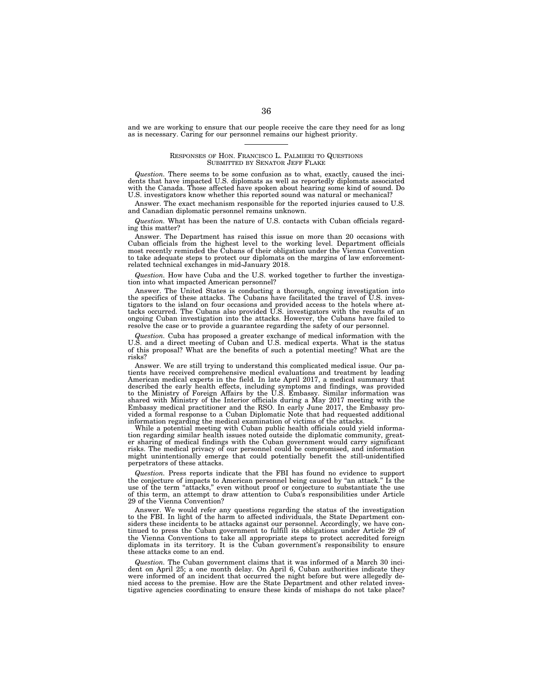and we are working to ensure that our people receive the care they need for as long as is necessary. Caring for our personnel remains our highest priority.

#### RESPONSES OF HON. FRANCISCO L. PALMIERI TO QUESTIONS SUBMITTED BY SENATOR JEFF FLAKE

*Question.* There seems to be some confusion as to what, exactly, caused the incidents that have impacted U.S. diplomats as well as reportedly diplomats associated with the Canada. Those affected have spoken about hearing some kind of sound. Do U.S. investigators know whether this reported sound was natural or mechanical?

Answer. The exact mechanism responsible for the reported injuries caused to U.S. and Canadian diplomatic personnel remains unknown.

*Question.* What has been the nature of U.S. contacts with Cuban officials regarding this matter?

Answer. The Department has raised this issue on more than 20 occasions with Cuban officials from the highest level to the working level. Department officials most recently reminded the Cubans of their obligation under the Vienna Convention to take adequate steps to protect our diplomats on the margins of law enforcementrelated technical exchanges in mid-January 2018.

*Question.* How have Cuba and the U.S. worked together to further the investigation into what impacted American personnel?

Answer. The United States is conducting a thorough, ongoing investigation into the specifics of these attacks. The Cubans have facilitated the travel of U.S. investigators to the island on four occasions and provided access to the hotels where attacks occurred. The Cubans also provided U.S. investigators with the results of an ongoing Cuban investigation into the attacks. However, the Cubans have failed to resolve the case or to provide a guarantee regarding the safety of our personnel.

*Question.* Cuba has proposed a greater exchange of medical information with the U.S. and a direct meeting of Cuban and U.S. medical experts. What is the status of this proposal? What are the benefits of such a potential meeting? What are the risks?

Answer. We are still trying to understand this complicated medical issue. Our patients have received comprehensive medical evaluations and treatment by leading American medical experts in the field. In late April 2017, a medical summary that described the early health effects, including symptoms and findings, was provided to the Ministry of Foreign Affairs by the U.S. Embassy. Similar information was shared with Ministry of the Interior officials during a May 2017 meeting with the Embassy medical practitioner and the RSO. In early June 2017, the Embassy provided a formal response to a Cuban Diplomatic Note that had requested additional information regarding the medical examination of victims of the attacks.

While a potential meeting with Cuban public health officials could yield information regarding similar health issues noted outside the diplomatic community, greater sharing of medical findings with the Cuban government would carry significant risks. The medical privacy of our personnel could be compromised, and information might unintentionally emerge that could potentially benefit the still-unidentified perpetrators of these attacks.

*Question.* Press reports indicate that the FBI has found no evidence to support the conjecture of impacts to American personnel being caused by ''an attack.'' Is the use of the term "attacks," even without proof or conjecture to substantiate the use of this term, an attempt to draw attention to Cuba's responsibilities under Article 29 of the Vienna Convention?

Answer. We would refer any questions regarding the status of the investigation to the FBI. In light of the harm to affected individuals, the State Department considers these incidents to be attacks against our personnel. Accordingly, we have continued to press the Cuban government to fulfill its obligations under Article 29 of the Vienna Conventions to take all appropriate steps to protect accredited foreign diplomats in its territory. It is the Cuban government's responsibility to ensure these attacks come to an end.

*Question.* The Cuban government claims that it was informed of a March 30 incident on April 25; a one month delay. On April 6, Cuban authorities indicate they were informed of an incident that occurred the night before but were allegedly denied access to the premise. How are the State Department and other related investigative agencies coordinating to ensure these kinds of mishaps do not take place?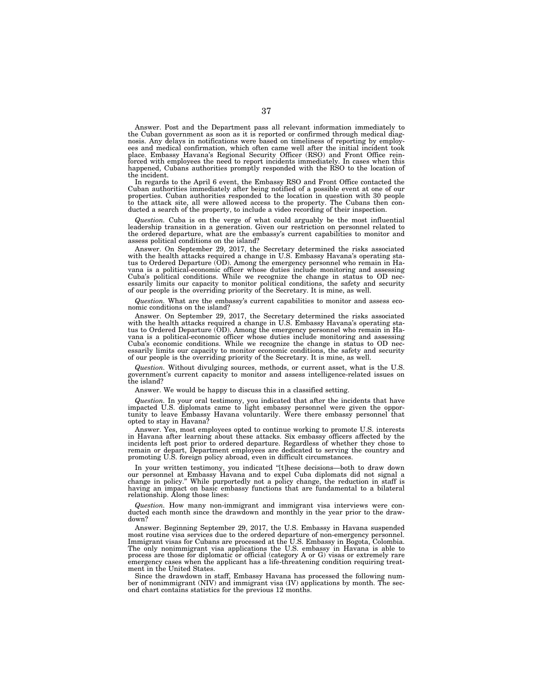Answer. Post and the Department pass all relevant information immediately to the Cuban government as soon as it is reported or confirmed through medical diagnosis. Any delays in notifications were based on timeliness of reporting by employees and medical confirmation, which often came well after the initial incident took place. Embassy Havana's Regional Security Officer (RSO) and Front Office reinforced with employees the need to report incidents immediately. In cases when this happened, Cubans authorities promptly responded with the RSO to the location of the incident.

In regards to the April 6 event, the Embassy RSO and Front Office contacted the Cuban authorities immediately after being notified of a possible event at one of our properties. Cuban authorities responded to the location in question with 30 people to the attack site, all were allowed access to the property. The Cubans then conducted a search of the property, to include a video recording of their inspection.

*Question.* Cuba is on the verge of what could arguably be the most influential leadership transition in a generation. Given our restriction on personnel related to the ordered departure, what are the embassy's current capabilities to monitor and assess political conditions on the island?

Answer. On September 29, 2017, the Secretary determined the risks associated with the health attacks required a change in U.S. Embassy Havana's operating status to Ordered Departure (OD). Among the emergency personnel who remain in Havana is a political-economic officer whose duties include monitoring and assessing Cuba's political conditions. While we recognize the change in status to OD necessarily limits our capacity to monitor political conditions, the safety and security of our people is the overriding priority of the Secretary. It is mine, as well.

*Question.* What are the embassy's current capabilities to monitor and assess economic conditions on the island?

Answer. On September 29, 2017, the Secretary determined the risks associated with the health attacks required a change in U.S. Embassy Havana's operating sta-tus to Ordered Departure (OD). Among the emergency personnel who remain in Havana is a political-economic officer whose duties include monitoring and assessing Cuba's economic conditions. While we recognize the change in status to OD necessarily limits our capacity to monitor economic conditions, the safety and security of our people is the overriding priority of the Secretary. It is mine, as well.

*Question.* Without divulging sources, methods, or current asset, what is the U.S. government's current capacity to monitor and assess intelligence-related issues on the island?

Answer. We would be happy to discuss this in a classified setting.

*Question.* In your oral testimony, you indicated that after the incidents that have impacted U.S. diplomats came to light embassy personnel were given the opportunity to leave Embassy Havana voluntarily. Were there embassy personnel that opted to stay in Havana?

Answer. Yes, most employees opted to continue working to promote U.S. interests in Havana after learning about these attacks. Six embassy officers affected by the incidents left post prior to ordered departure. Regardless of whether they chose to remain or depart, Department employees are dedicated to serving the country and promoting U.S. foreign policy abroad, even in difficult circumstances.

In your written testimony, you indicated ''[t]hese decisions—both to draw down our personnel at Embassy Havana and to expel Cuba diplomats did not signal a change in policy.'' While purportedly not a policy change, the reduction in staff is having an impact on basic embassy functions that are fundamental to a bilateral relationship. Along those lines:

*Question.* How many non-immigrant and immigrant visa interviews were conducted each month since the drawdown and monthly in the year prior to the drawdown?

Answer. Beginning September 29, 2017, the U.S. Embassy in Havana suspended most routine visa services due to the ordered departure of non-emergency personnel. Immigrant visas for Cubans are processed at the U.S. Embassy in Bogota, Colombia. The only nonimmigrant visa applications the U.S. embassy in Havana is able to process are those for diplomatic or official (category A or G) visas or extremely rare emergency cases when the applicant has a life-threatening condition requiring treatment in the United States.

Since the drawdown in staff, Embassy Havana has processed the following number of nonimmigrant (NIV) and immigrant visa (IV) applications by month. The second chart contains statistics for the previous 12 months.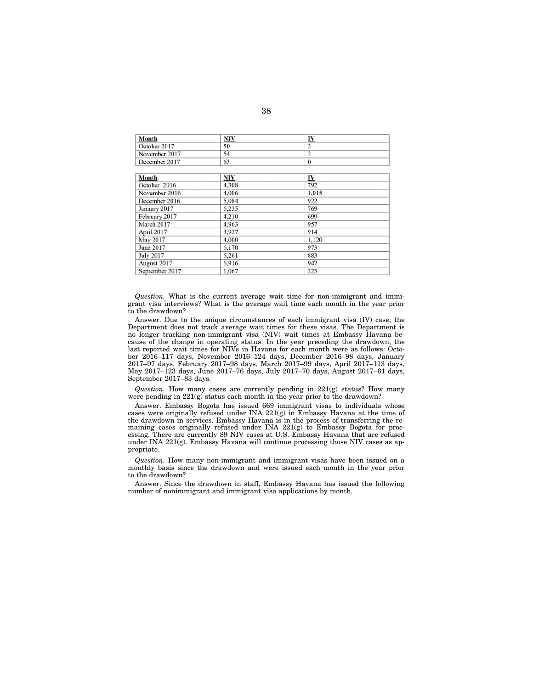| Month            | <b>NIV</b> | IV             |  |
|------------------|------------|----------------|--|
| October 2017     | 50         | 2              |  |
| November 2017    | 54         | $\overline{2}$ |  |
| December 2017    | 63         | $\mathbf{0}$   |  |
| Month            | <b>NIV</b> | IV             |  |
| October 2016     | 4,308      | 792            |  |
| November 2016    | 4,006      | 1,015          |  |
| December 2016    | 5,084      | 922            |  |
| January 2017     | 6.235      | 769            |  |
| February 2017    | 4,210      | 699            |  |
| March 2017       | 4.963      | 957            |  |
| April 2017       | 3,937      | 914            |  |
| May 2017         | 4,000      | 1,120          |  |
| June 2017        | 6,170      | 973            |  |
| <b>July 2017</b> | 6,261      | 883            |  |
| August 2017      | 6.916      | 947            |  |
| September 2017   | 1,067      | 223            |  |

*Question.* What is the current average wait time for non-immigrant and immigrant visa interviews? What is the average wait time each month in the year prior to the drawdown?

Answer. Due to the unique circumstances of each immigrant visa (IV) case, the Department does not track average wait times for these visas. The Department is no longer tracking non-immigrant visa (NIV) wait times at Embassy Havana because of the change in operating status. In the year preceding the drawdown, the last reported wait times for NIVs in Havana for each month were as follows: October 2016–117 days, November 2016–124 days, December 2016–98 days, January 2017–97 days, February 2017–98 days, March 2017–99 days, April 2017–113 days, May 2017–123 days, June 2017–76 days, July 2017–70 days, August 2017–61 days, September 2017–83 days.

*Question.* How many cases are currently pending in 221(g) status? How many were pending in  $221(g)$  status each month in the year prior to the drawdown?

Answer. Embassy Bogota has issued 669 immigrant visas to individuals whose cases were originally refused under INA  $221(g)$  in Embassy Havana at the time of the drawdown in services. Embassy Havana is in the process of transferring the remaining cases originally refused under INA 221(g) to Embassy Bogota for processing. There are currently 89 NIV cases at U.S. Embassy Havana that are refused under INA 221(g). Embassy Havana will continue processing those NIV cases as appropriate.

*Question.* How many non-immigrant and immigrant visas have been issued on a monthly basis since the drawdown and were issued each month in the year prior to the drawdown?

Answer. Since the drawdown in staff, Embassy Havana has issued the following number of nonimmigrant and immigrant visa applications by month.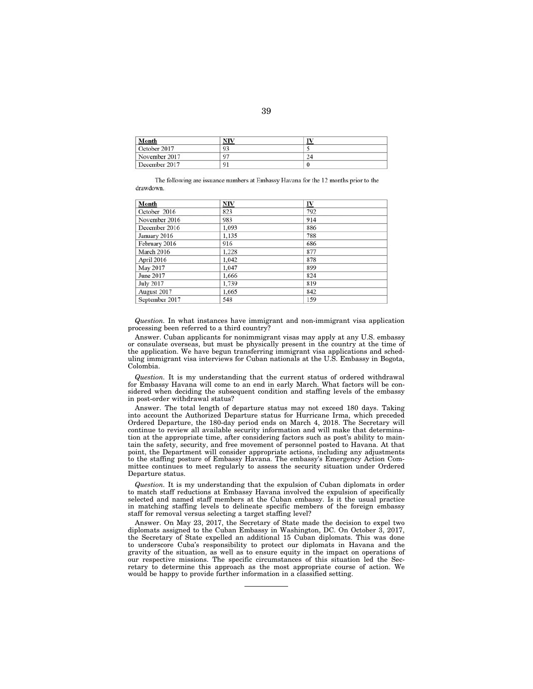| Month         | NIV |    |  |
|---------------|-----|----|--|
| October 2017  | 93  |    |  |
| November 2017 | 97  | 24 |  |
| December 2017 | 91  |    |  |

The following are issuance numbers at Embassy Havana for the 12 months prior to the drawdown

| Month            | NIV   | <u>IV</u> |  |
|------------------|-------|-----------|--|
| October 2016     | 823   | 792       |  |
| November 2016    | 983   | 914       |  |
| December 2016    | 1,093 | 886       |  |
| January 2016     | 1,135 | 788       |  |
| February 2016    | 916   | 686       |  |
| March 2016       | 1.228 | 877       |  |
| April 2016       | 1,042 | 878       |  |
| May 2017         | 1,047 | 899       |  |
| June 2017        | 1,666 | 824       |  |
| <b>July 2017</b> | 1,739 | 819       |  |
| August 2017      | 1,665 | 842       |  |
| September 2017   | 548   | 159       |  |

*Question.* In what instances have immigrant and non-immigrant visa application processing been referred to a third country?

Answer. Cuban applicants for nonimmigrant visas may apply at any U.S. embassy or consulate overseas, but must be physically present in the country at the time of the application. We have begun transferring immigrant visa applications and scheduling immigrant visa interviews for Cuban nationals at the U.S. Embassy in Bogota, Colombia.

*Question.* It is my understanding that the current status of ordered withdrawal for Embassy Havana will come to an end in early March. What factors will be considered when deciding the subsequent condition and staffing levels of the embassy in post-order withdrawal status?

Answer. The total length of departure status may not exceed 180 days. Taking into account the Authorized Departure status for Hurricane Irma, which preceded Ordered Departure, the 180-day period ends on March 4, 2018. The Secretary will continue to review all available security information and will make that determination at the appropriate time, after considering factors such as post's ability to maintain the safety, security, and free movement of personnel posted to Havana. At that point, the Department will consider appropriate actions, including any adjustments to the staffing posture of Embassy Havana. The embassy's Emergency Action Committee continues to meet regularly to assess the security situation under Ordered Departure status.

*Question.* It is my understanding that the expulsion of Cuban diplomats in order to match staff reductions at Embassy Havana involved the expulsion of specifically selected and named staff members at the Cuban embassy. Is it the usual practice in matching staffing levels to delineate specific members of the foreign embassy staff for removal versus selecting a target staffing level?

Answer. On May 23, 2017, the Secretary of State made the decision to expel two diplomats assigned to the Cuban Embassy in Washington, DC. On October 3, 2017, the Secretary of State expelled an additional 15 Cuban diplomats. This was done to underscore Cuba's responsibility to protect our diplomats in Havana and the gravity of the situation, as well as to ensure equity in the impact on operations of our respective missions. The specific circumstances of this situation led the Secretary to determine this approach as the most appropriate course of action. We would be happy to provide further information in a classified setting.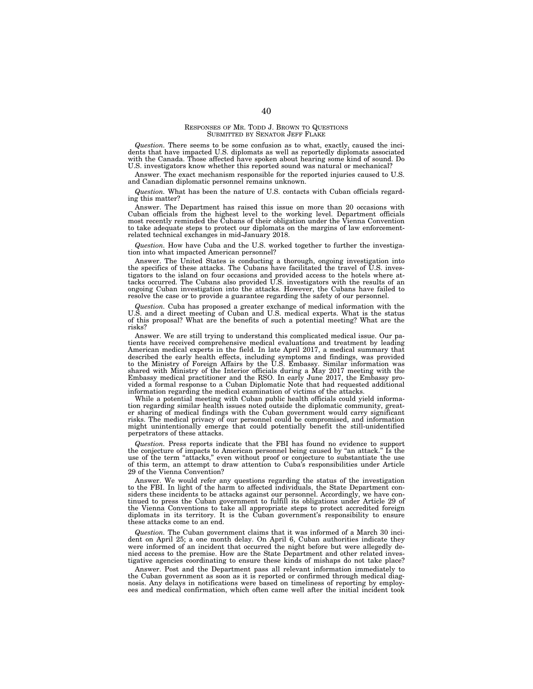#### RESPONSES OF MR. TODD J. BROWN TO QUESTIONS SUBMITTED BY SENATOR JEFF FLAKE

*Question.* There seems to be some confusion as to what, exactly, caused the incidents that have impacted U.S. diplomats as well as reportedly diplomats associated with the Canada. Those affected have spoken about hearing some kind of sound. Do U.S. investigators know whether this reported sound was natural or mechanical?

Answer. The exact mechanism responsible for the reported injuries caused to U.S. and Canadian diplomatic personnel remains unknown.

*Question.* What has been the nature of U.S. contacts with Cuban officials regarding this matter?

Answer. The Department has raised this issue on more than 20 occasions with Cuban officials from the highest level to the working level. Department officials most recently reminded the Cubans of their obligation under the Vienna Convention to take adequate steps to protect our diplomats on the margins of law enforcementrelated technical exchanges in mid-January 2018.

*Question.* How have Cuba and the U.S. worked together to further the investigation into what impacted American personnel?

Answer. The United States is conducting a thorough, ongoing investigation into the specifics of these attacks. The Cubans have facilitated the travel of U.S. investigators to the island on four occasions and provided access to the hotels where attacks occurred. The Cubans also provided U.S. investigators with the results of an ongoing Cuban investigation into the attacks. However, the Cubans have failed to resolve the case or to provide a guarantee regarding the safety of our personnel.

*Question.* Cuba has proposed a greater exchange of medical information with the U.S. and a direct meeting of Cuban and U.S. medical experts. What is the status of this proposal? What are the benefits of such a potential meeting? What are the risks?

Answer. We are still trying to understand this complicated medical issue. Our patients have received comprehensive medical evaluations and treatment by leading American medical experts in the field. In late April 2017, a medical summary that described the early health effects, including symptoms and findings, was provided to the Ministry of Foreign Affairs by the U.S. Embassy. Similar information was shared with Ministry of the Interior officials during a May 2017 meeting with the Embassy medical practitioner and the RSO. In early June 2017, the Embassy provided a formal response to a Cuban Diplomatic Note that had requested additional information regarding the medical examination of victims of the attacks.

While a potential meeting with Cuban public health officials could yield information regarding similar health issues noted outside the diplomatic community, greater sharing of medical findings with the Cuban government would carry significant risks. The medical privacy of our personnel could be compromised, and information might unintentionally emerge that could potentially benefit the still-unidentified perpetrators of these attacks.

*Question.* Press reports indicate that the FBI has found no evidence to support the conjecture of impacts to American personnel being caused by ''an attack.'' Is the use of the term "attacks," even without proof or conjecture to substantiate the use of this term, an attempt to draw attention to Cuba's responsibilities under Article 29 of the Vienna Convention?

Answer. We would refer any questions regarding the status of the investigation to the FBI. In light of the harm to affected individuals, the State Department considers these incidents to be attacks against our personnel. Accordingly, we have continued to press the Cuban government to fulfill its obligations under Article 29 of the Vienna Conventions to take all appropriate steps to protect accredited foreign diplomats in its territory. It is the Cuban government's responsibility to ensure these attacks come to an end.

*Question.* The Cuban government claims that it was informed of a March 30 incident on April 25; a one month delay. On April 6, Cuban authorities indicate they were informed of an incident that occurred the night before but were allegedly denied access to the premise. How are the State Department and other related investigative agencies coordinating to ensure these kinds of mishaps do not take place?

Answer. Post and the Department pass all relevant information immediately to the Cuban government as soon as it is reported or confirmed through medical diagnosis. Any delays in notifications were based on timeliness of reporting by employees and medical confirmation, which often came well after the initial incident took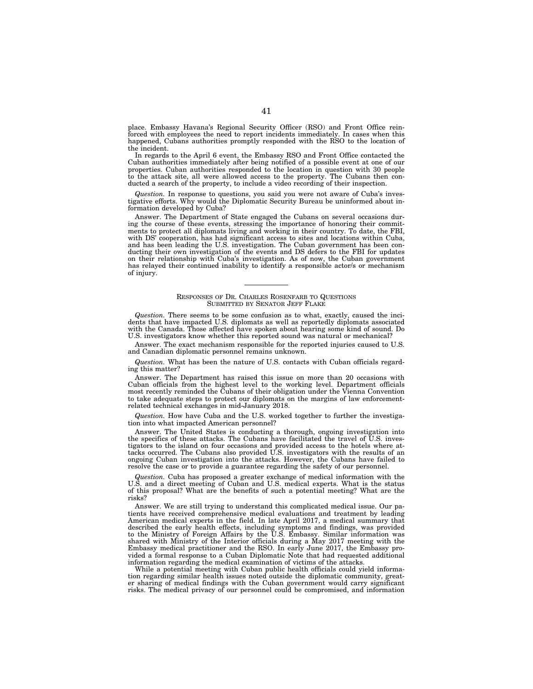place. Embassy Havana's Regional Security Officer (RSO) and Front Office reinforced with employees the need to report incidents immediately. In cases when this happened, Cubans authorities promptly responded with the RSO to the location of the incident.

In regards to the April 6 event, the Embassy RSO and Front Office contacted the Cuban authorities immediately after being notified of a possible event at one of our properties. Cuban authorities responded to the location in question with 30 people to the attack site, all were allowed access to the property. The Cubans then conducted a search of the property, to include a video recording of their inspection.

*Question.* In response to questions, you said you were not aware of Cuba's investigative efforts. Why would the Diplomatic Security Bureau be uninformed about information developed by Cuba?

Answer. The Department of State engaged the Cubans on several occasions during the course of these events, stressing the importance of honoring their commitments to protect all diplomats living and working in their country. To date, the FBI, with DS' cooperation, has had significant access to sites and locations within Cuba, and has been leading the U.S. investigation. The Cuban government has been conducting their own investigation of the events and DS defers to the FBI for updates on their relationship with Cuba's investigation. As of now, the Cuban government has relayed their continued inability to identify a responsible actor/s or mechanism of injury.

#### RESPONSES OF DR. CHARLES ROSENFARB TO QUESTIONS SUBMITTED BY SENATOR JEFF FLAKE

*Question.* There seems to be some confusion as to what, exactly, caused the incidents that have impacted U.S. diplomats as well as reportedly diplomats associated with the Canada. Those affected have spoken about hearing some kind of sound. Do U.S. investigators know whether this reported sound was natural or mechanical?

Answer. The exact mechanism responsible for the reported injuries caused to U.S. and Canadian diplomatic personnel remains unknown.

*Question.* What has been the nature of U.S. contacts with Cuban officials regarding this matter?

Answer. The Department has raised this issue on more than 20 occasions with Cuban officials from the highest level to the working level. Department officials most recently reminded the Cubans of their obligation under the Vienna Convention to take adequate steps to protect our diplomats on the margins of law enforcementrelated technical exchanges in mid-January 2018.

*Question.* How have Cuba and the U.S. worked together to further the investigation into what impacted American personnel?

Answer. The United States is conducting a thorough, ongoing investigation into the specifics of these attacks. The Cubans have facilitated the travel of U.S. investigators to the island on four occasions and provided access to the hotels where attacks occurred. The Cubans also provided U.S. investigators with the results of an ongoing Cuban investigation into the attacks. However, the Cubans have failed to resolve the case or to provide a guarantee regarding the safety of our personnel.

*Question.* Cuba has proposed a greater exchange of medical information with the U.S. and a direct meeting of Cuban and U.S. medical experts. What is the status of this proposal? What are the benefits of such a potential meeting? What are the risks?

Answer. We are still trying to understand this complicated medical issue. Our patients have received comprehensive medical evaluations and treatment by leading American medical experts in the field. In late April 2017, a medical summary that described the early health effects, including symptoms and findings, was provided to the Ministry of Foreign Affairs by the U.S. Embassy. Similar information was shared with Ministry of the Interior officials during a May 2017 meeting with the Embassy medical practitioner and the RSO. In early June 2017, the Embassy provided a formal response to a Cuban Diplomatic Note that had requested additional information regarding the medical examination of victims of the attacks.

While a potential meeting with Cuban public health officials could yield information regarding similar health issues noted outside the diplomatic community, greater sharing of medical findings with the Cuban government would carry significant risks. The medical privacy of our personnel could be compromised, and information